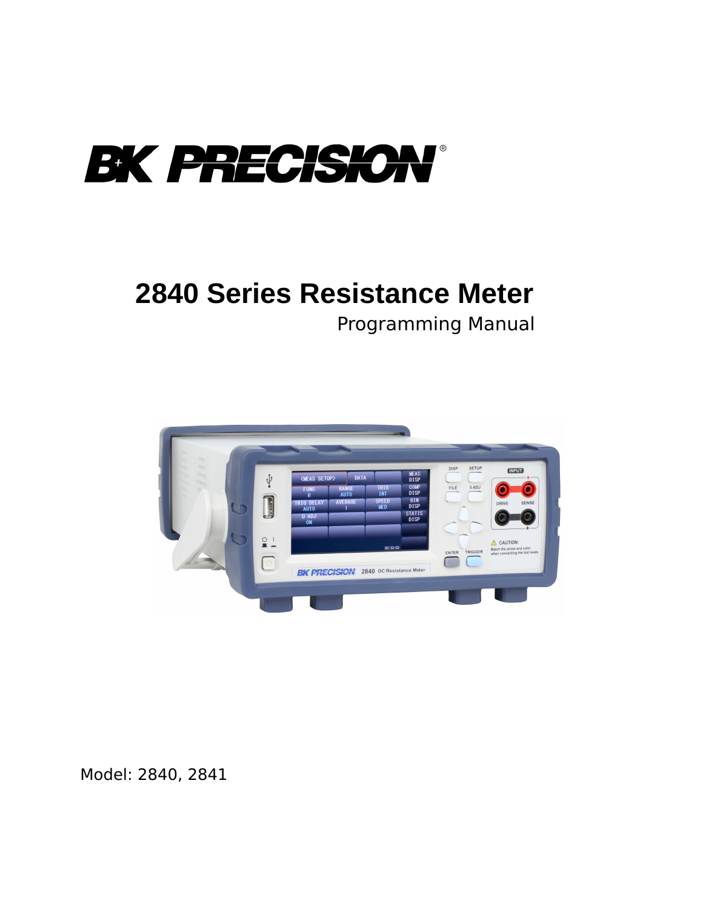

# **2840 Series Resistance Meter**

Programming Manual



Model: 2840, 2841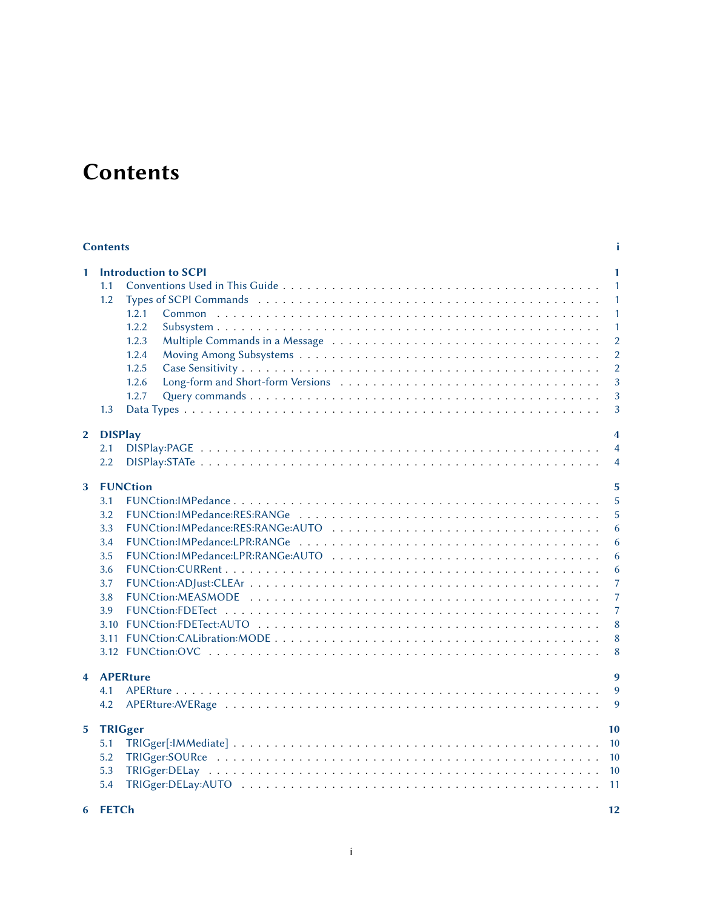## **Contents**

#### <span id="page-1-0"></span>[Contents](#page-1-0) [i](#page-1-0)

| 1                       | 1.1<br>1.2<br>1.3     | <b>Introduction to SCPI</b><br>1.2.1<br>1.2.2<br>1.2.3<br>1.2.4<br>1.2.5<br>1.2.6<br>1.2.7 | $\mathbf{1}$<br>$\mathbf{1}$<br>1<br>1<br>1<br>$\overline{2}$<br>$\overline{2}$<br>$\overline{2}$<br>3<br>3<br>3 |
|-------------------------|-----------------------|--------------------------------------------------------------------------------------------|------------------------------------------------------------------------------------------------------------------|
|                         |                       |                                                                                            |                                                                                                                  |
| 2                       | <b>DISPlay</b><br>2.1 |                                                                                            | $\overline{\mathbf{4}}$<br>$\overline{4}$                                                                        |
|                         | 2.2                   |                                                                                            | $\overline{4}$                                                                                                   |
|                         |                       |                                                                                            |                                                                                                                  |
| 3                       |                       | <b>FUNCtion</b>                                                                            | 5                                                                                                                |
|                         | 3.1                   |                                                                                            | 5                                                                                                                |
|                         | 3.2                   |                                                                                            | 5                                                                                                                |
|                         | 3.3                   |                                                                                            | 6                                                                                                                |
|                         | 3.4                   |                                                                                            | 6                                                                                                                |
|                         | 3.5                   |                                                                                            | 6                                                                                                                |
|                         | 3.6                   |                                                                                            | 6                                                                                                                |
|                         | 3.7                   |                                                                                            | 7                                                                                                                |
|                         | 3.8<br>3.9            |                                                                                            | 7<br>$\overline{7}$                                                                                              |
|                         | 3.10                  |                                                                                            | 8                                                                                                                |
|                         |                       |                                                                                            | 8                                                                                                                |
|                         |                       |                                                                                            | 8                                                                                                                |
|                         |                       |                                                                                            |                                                                                                                  |
| $\overline{\mathbf{4}}$ |                       | <b>APERture</b>                                                                            | 9                                                                                                                |
|                         | 4.1                   |                                                                                            | 9                                                                                                                |
|                         | 4.2                   |                                                                                            | 9                                                                                                                |
| 5.                      | <b>TRIGger</b>        |                                                                                            | 10                                                                                                               |
|                         | 5.1                   |                                                                                            | 10                                                                                                               |
|                         | 5.2                   |                                                                                            | 10                                                                                                               |
|                         | 5.3                   |                                                                                            | 10                                                                                                               |
|                         | 5.4                   |                                                                                            | 11                                                                                                               |
|                         |                       |                                                                                            |                                                                                                                  |

| 6 FETCh |  |
|---------|--|
|---------|--|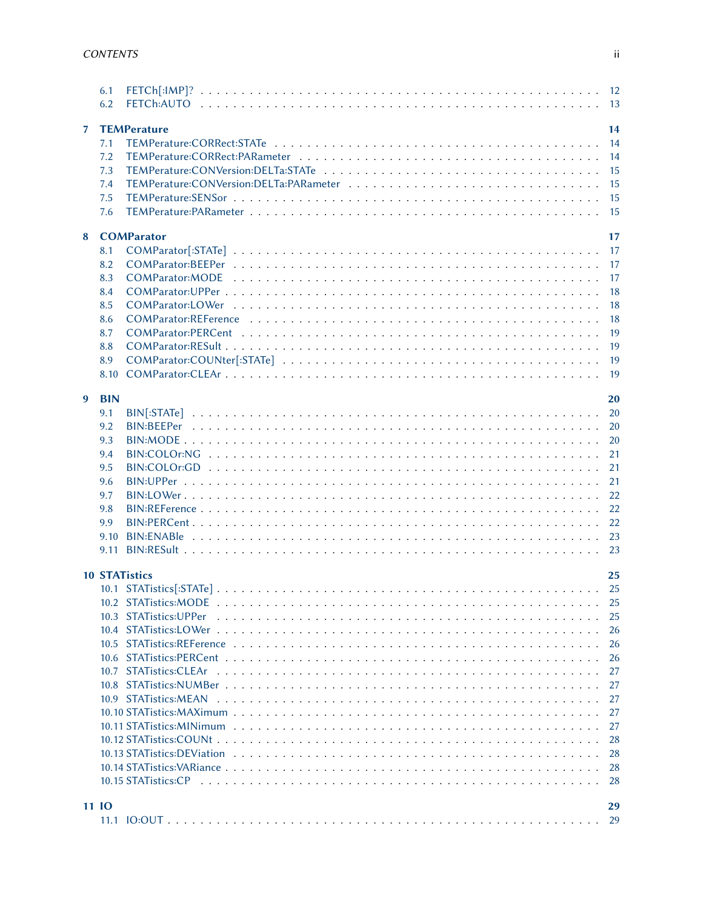|                | 6.1<br>6.2 |                      |      |
|----------------|------------|----------------------|------|
| $\overline{7}$ |            | <b>TEMPerature</b>   | 14   |
|                | 7.1        |                      |      |
|                | 7.2        |                      |      |
|                | 7.3        |                      |      |
|                | 7.4        |                      |      |
|                | 7.5        |                      |      |
|                | 7.6        |                      |      |
|                |            |                      |      |
| 8              |            | <b>COMParator</b>    | 17   |
|                | 8.1        |                      |      |
|                | 8.2        |                      |      |
|                | 8.3        |                      |      |
|                | 8.4        |                      | 18   |
|                | 8.5        |                      | 18   |
|                | 8.6        |                      | 18   |
|                | 8.7        |                      | 19   |
|                | 8.8        |                      | 19   |
|                | 8.9        |                      |      |
|                | 8.10       |                      |      |
|                |            |                      |      |
| 9              | <b>BIN</b> |                      | 20   |
|                | 9.1        |                      |      |
|                | 9.2        |                      |      |
|                | 9.3        |                      | 20   |
|                | 9.4        |                      | 21   |
|                | 9.5        |                      | 21   |
|                | 9.6        |                      | 21   |
|                | 9.7        |                      |      |
|                | 9.8        |                      |      |
|                | 9.9        |                      |      |
|                | 9.10       |                      |      |
|                |            |                      |      |
|                |            |                      |      |
|                |            | <b>10 STATistics</b> | 25   |
|                |            |                      |      |
|                |            |                      | 25   |
|                |            |                      |      |
|                |            |                      | -26  |
|                |            |                      |      |
|                |            |                      |      |
|                |            |                      | -27  |
|                |            |                      | 27   |
|                |            |                      | 27   |
|                |            |                      | 27   |
|                |            |                      |      |
|                |            |                      | 27   |
|                |            |                      | 28   |
|                |            |                      | 28   |
|                |            |                      | - 28 |
|                |            |                      |      |
|                | 11 IO      |                      | 29   |
|                |            |                      | 29   |
|                |            |                      |      |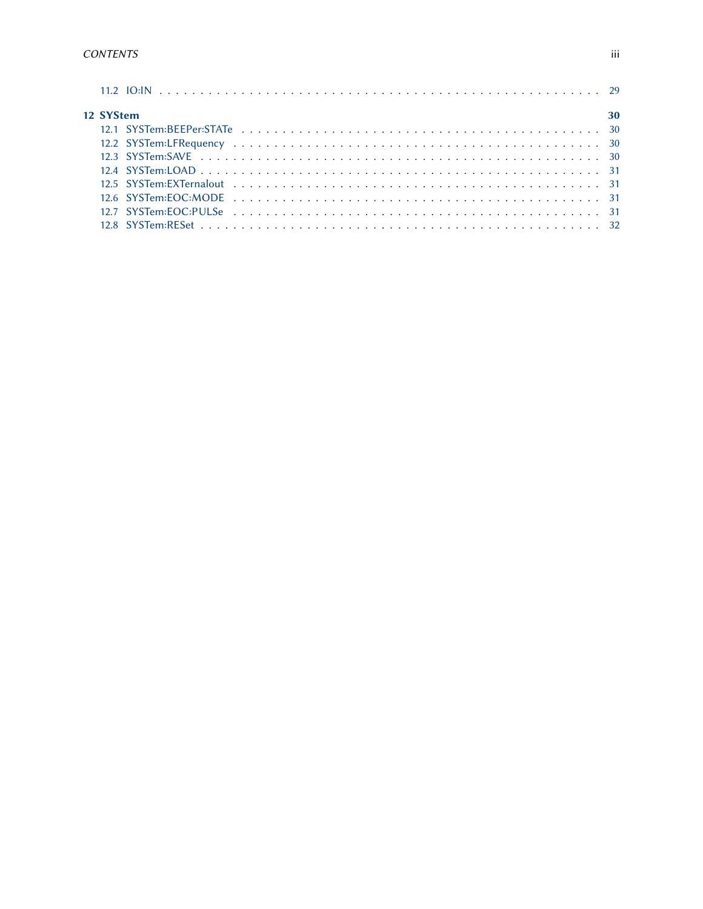| 12 SYStem | 30 |
|-----------|----|
|           |    |
|           |    |
|           |    |
|           |    |
|           |    |
|           |    |
|           |    |
|           |    |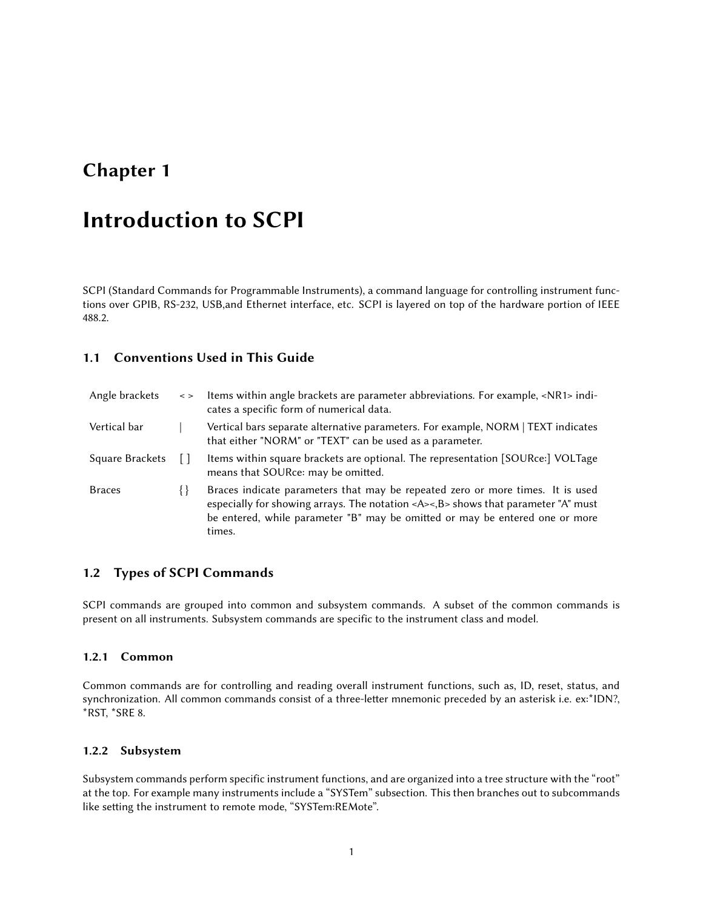## <span id="page-4-0"></span>Introduction to SCPI

SCPI (Standard Commands for Programmable Instruments), a command language for controlling instrument functions over GPIB, RS-232, USB,and Ethernet interface, etc. SCPI is layered on top of the hardware portion of IEEE 488.2.

#### <span id="page-4-1"></span>1.1 Conventions Used in This Guide

| Angle brackets         | $\leq$ > | Items within angle brackets are parameter abbreviations. For example, <nr1> indi-<br/>cates a specific form of numerical data.</nr1>                                                                                                                                      |
|------------------------|----------|---------------------------------------------------------------------------------------------------------------------------------------------------------------------------------------------------------------------------------------------------------------------------|
| Vertical bar           |          | Vertical bars separate alternative parameters. For example, NORM   TEXT indicates<br>that either "NORM" or "TEXT" can be used as a parameter.                                                                                                                             |
| <b>Square Brackets</b> |          | Items within square brackets are optional. The representation [SOURce:] VOLTage<br>means that SOURce: may be omitted.                                                                                                                                                     |
| <b>Braces</b>          | ∤∤       | Braces indicate parameters that may be repeated zero or more times. It is used<br>especially for showing arrays. The notation <a>&lt;,B&gt; shows that parameter "A" must<br/>be entered, while parameter "B" may be omitted or may be entered one or more<br/>times.</a> |

#### <span id="page-4-2"></span>1.2 Types of SCPI Commands

<span id="page-4-3"></span>SCPI commands are grouped into common and subsystem commands. A subset of the common commands is present on all instruments. Subsystem commands are specific to the instrument class and model.

#### 1.2.1 Common

Common commands are for controlling and reading overall instrument functions, such as, ID, reset, status, and synchronization. All common commands consist of a three-letter mnemonic preceded by an asterisk i.e. ex:\*IDN?, \*RST, \*SRE 8.

#### <span id="page-4-4"></span>1.2.2 Subsystem

<span id="page-4-5"></span>Subsystem commands perform specific instrument functions, and are organized into a tree structure with the "root" at the top. For example many instruments include a "SYSTem" subsection. This then branches out to subcommands like setting the instrument to remote mode, "SYSTem:REMote".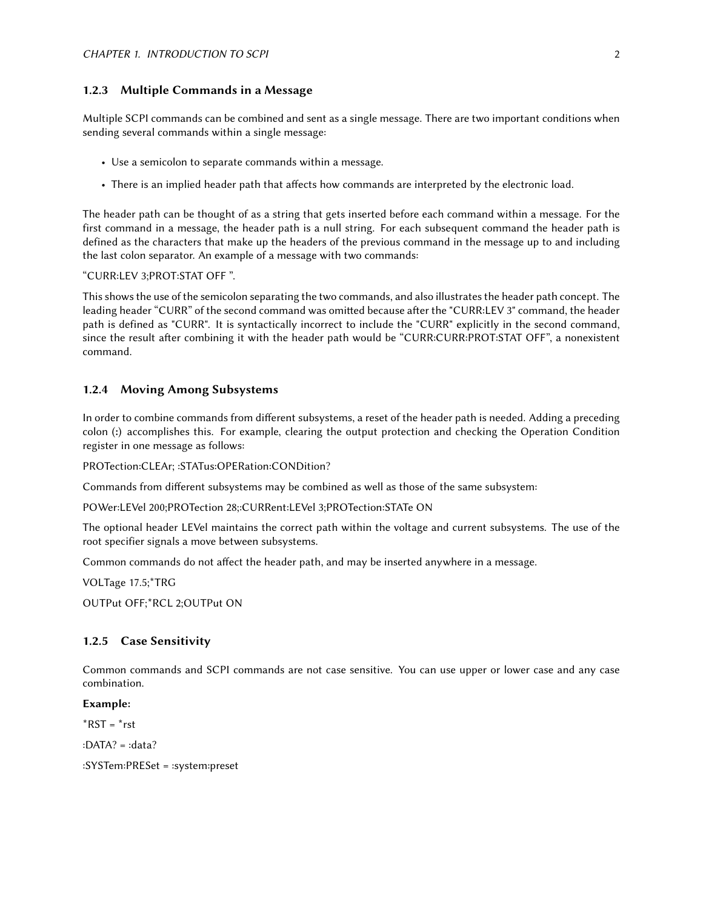#### 1.2.3 Multiple Commands in a Message

Multiple SCPI commands can be combined and sent as a single message. There are two important conditions when sending several commands within a single message:

- Use a semicolon to separate commands within a message.
- There is an implied header path that affects how commands are interpreted by the electronic load.

The header path can be thought of as a string that gets inserted before each command within a message. For the first command in a message, the header path is a null string. For each subsequent command the header path is defined as the characters that make up the headers of the previous command in the message up to and including the last colon separator. An example of a message with two commands:

#### "CURR:LEV 3;PROT:STAT OFF ".

This shows the use of the semicolon separating the two commands, and also illustrates the header path concept. The leading header "CURR" of the second command was omitted because after the "CURR:LEV 3" command, the header path is defined as "CURR". It is syntactically incorrect to include the "CURR" explicitly in the second command, since the result after combining it with the header path would be "CURR:CURR:PROT:STAT OFF", a nonexistent command.

#### <span id="page-5-0"></span>1.2.4 Moving Among Subsystems

In order to combine commands from different subsystems, a reset of the header path is needed. Adding a preceding colon (:) accomplishes this. For example, clearing the output protection and checking the Operation Condition register in one message as follows:

PROTection:CLEAr; :STATus:OPERation:CONDition?

Commands from different subsystems may be combined as well as those of the same subsystem:

POWer:LEVel 200;PROTection 28;:CURRent:LEVel 3;PROTection:STATe ON

The optional header LEVel maintains the correct path within the voltage and current subsystems. The use of the root specifier signals a move between subsystems.

Common commands do not affect the header path, and may be inserted anywhere in a message.

VOLTage 17.5;\*TRG

<span id="page-5-1"></span>OUTPut OFF;\*RCL 2;OUTPut ON

#### 1.2.5 Case Sensitivity

Common commands and SCPI commands are not case sensitive. You can use upper or lower case and any case combination.

#### Example:

 $*RST = *rst$ 

:DATA? = :data?

<span id="page-5-2"></span>:SYSTem:PRESet = :system:preset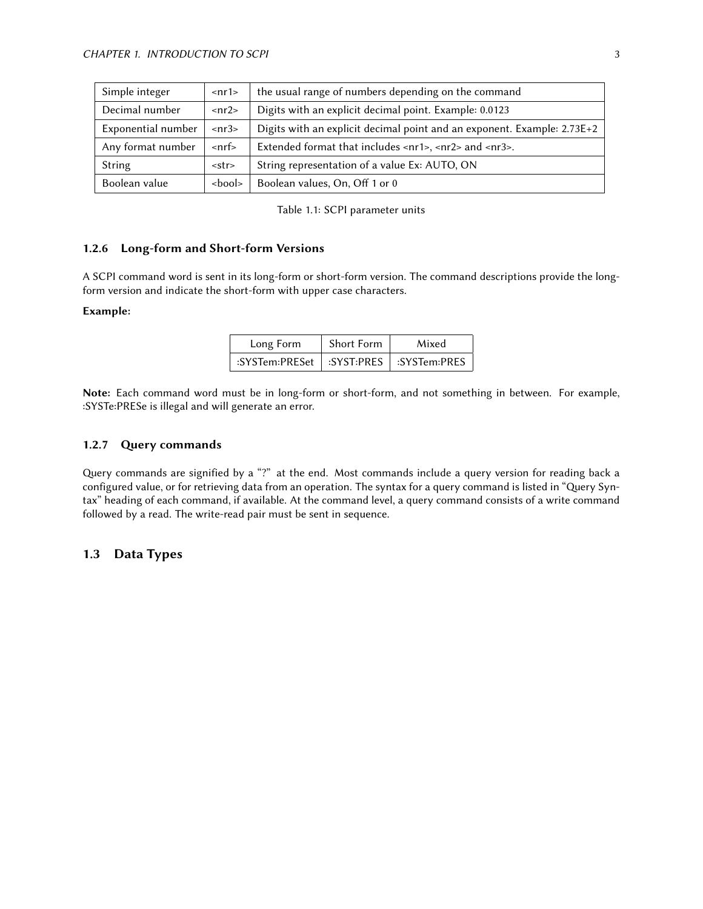| Simple integer                         | $<$ nr1>                  | the usual range of numbers depending on the command                                                     |  |  |
|----------------------------------------|---------------------------|---------------------------------------------------------------------------------------------------------|--|--|
| Decimal number<br>$\langle nr2\rangle$ |                           | Digits with an explicit decimal point. Example: 0.0123                                                  |  |  |
| Exponential number                     | $\langle nr3\rangle$      | Digits with an explicit decimal point and an exponent. Example: 2.73E+2                                 |  |  |
| Any format number                      | $\mathsf{cnrf}\mathsf{>}$ | Extended format that includes $\langle n_1 \rangle$ , $\langle n_2 \rangle$ and $\langle n_3 \rangle$ . |  |  |
| String                                 | <str></str>               | String representation of a value Ex: AUTO, ON                                                           |  |  |
| Boolean value                          | shool>                    | Boolean values, On, Off 1 or 0                                                                          |  |  |

Table 1.1: SCPI parameter units

#### 1.2.6 Long-form and Short-form Versions

A SCPI command word is sent in its long-form or short-form version. The command descriptions provide the longform version and indicate the short-form with upper case characters.

#### Example:

| Long Form                                  | Short Form | Mixed |
|--------------------------------------------|------------|-------|
| :SYSTem:PRESet   :SYST:PRES   :SYSTem:PRES |            |       |

<span id="page-6-0"></span>Note: Each command word must be in long-form or short-form, and not something in between. For example, :SYSTe:PRESe is illegal and will generate an error.

#### 1.2.7 Query commands

Query commands are signified by a "?" at the end. Most commands include a query version for reading back a configured value, or for retrieving data from an operation. The syntax for a query command is listed in "Query Syntax" heading of each command, if available. At the command level, a query command consists of a write command followed by a read. The write-read pair must be sent in sequence.

#### <span id="page-6-1"></span>1.3 Data Types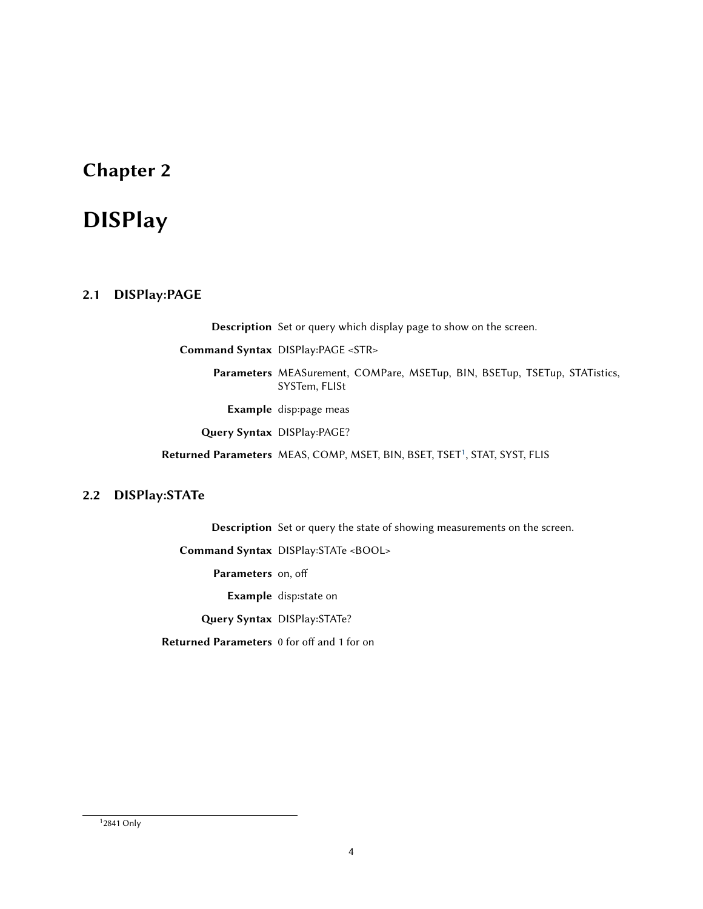## <span id="page-7-0"></span>DISPlay

#### <span id="page-7-1"></span>2.1 DISPlay:PAGE

Description Set or query which display page to show on the screen.

Command Syntax DISPlay:PAGE <STR>

Parameters MEASurement, COMPare, MSETup, BIN, BSETup, TSETup, STATistics, SYSTem, FLISt

Example disp:page meas

Query Syntax DISPlay:PAGE?

Returned Parameters MEAS, COMP, MSET, BIN, BSET, TSET<sup>[1](#page-7-3)</sup>, STAT, SYST, FLIS

#### <span id="page-7-2"></span>2.2 DISPlay:STATe

Description Set or query the state of showing measurements on the screen.

Command Syntax DISPlay:STATe <BOOL>

Parameters on, off

Example disp:state on

Query Syntax DISPlay: STATe?

Returned Parameters 0 for off and 1 for on

<span id="page-7-3"></span>1 2841 Only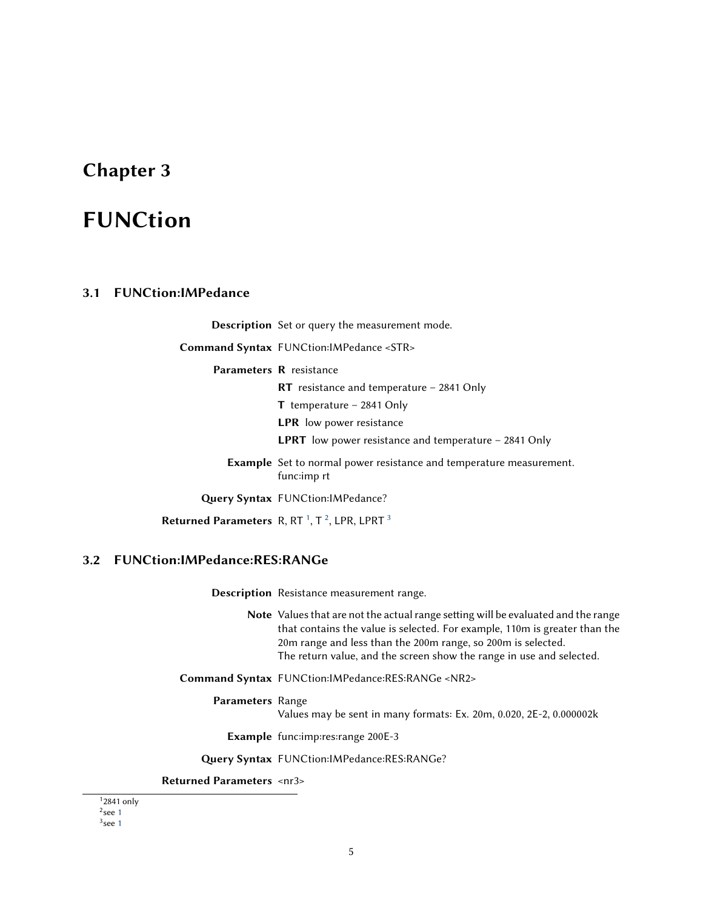## <span id="page-8-0"></span>FUNCtion

#### <span id="page-8-1"></span>3.1 FUNCtion:IMPedance

Description Set or query the measurement mode.

Command Syntax FUNCtion:IMPedance <STR>

Parameters R resistance

RT resistance and temperature – 2841 Only

T temperature – 2841 Only

LPR low power resistance

LPRT low power resistance and temperature - 2841 Only

Example Set to normal power resistance and temperature measurement. func:imp rt

Query Syntax FUNCtion: IMPedance?

Returned Parameters  $R$ , RT<sup>[1](#page-8-4)</sup>, T<sup>[2](#page-8-5)</sup>, LPR, LPRT<sup>[3](#page-8-6)</sup>

#### <span id="page-8-2"></span>3.2 FUNCtion:IMPedance:RES:RANGe

Description Resistance measurement range.

Note Values that are not the actual range setting will be evaluated and the range that contains the value is selected. For example, 110m is greater than the 20m range and less than the 200m range, so 200m is selected. The return value, and the screen show the range in use and selected.

Command Syntax FUNCtion:IMPedance:RES:RANGe <NR2>

#### Parameters Range

Values may be sent in many formats: Ex. 20m, 0.020, 2E-2, 0.000002k

Example func:imp:res:range 200E-3

Query Syntax FUNCtion:IMPedance:RES:RANGe?

#### Returned Parameters <nr3>

<span id="page-8-5"></span><span id="page-8-4"></span><span id="page-8-3"></span>1 2841 only  $2$ see [1](#page-8-4)

<span id="page-8-6"></span> $3$ see [1](#page-8-4)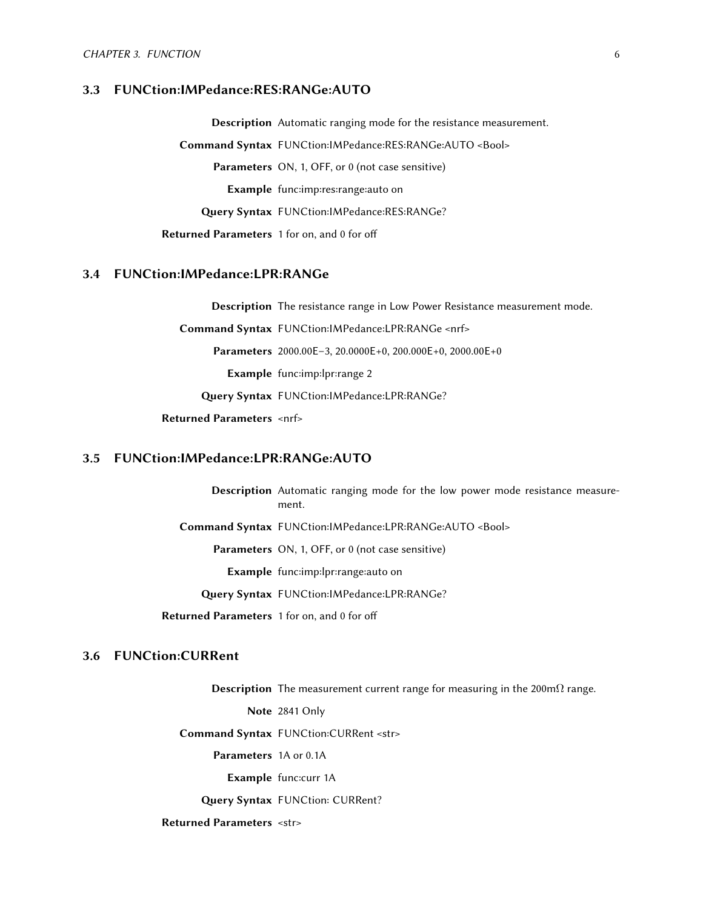#### 3.3 FUNCtion:IMPedance:RES:RANGe:AUTO

Description Automatic ranging mode for the resistance measurement. Command Syntax FUNCtion:IMPedance:RES:RANGe:AUTO <Bool> Parameters ON, 1, OFF, or 0 (not case sensitive) Example func:imp:res:range:auto on Query Syntax FUNCtion: IMPedance: RES: RANGe? Returned Parameters 1 for on, and 0 for off

#### <span id="page-9-0"></span>3.4 FUNCtion:IMPedance:LPR:RANGe

Description The resistance range in Low Power Resistance measurement mode.

Command Syntax FUNCtion:IMPedance:LPR:RANGe <nrf>

Parameters 2000.00E–3, 20.0000E+0, 200.000E+0, 2000.00E+0

Example func:imp:lpr:range 2

Query Syntax FUNCtion:IMPedance:LPR:RANGe?

Returned Parameters <nrf>

#### <span id="page-9-1"></span>3.5 FUNCtion:IMPedance:LPR:RANGe:AUTO

Description Automatic ranging mode for the low power mode resistance measurement.

Command Syntax FUNCtion:IMPedance:LPR:RANGe:AUTO <Bool>

Parameters ON, 1, OFF, or 0 (not case sensitive)

Example func:imp:lpr:range:auto on

Query Syntax FUNCtion:IMPedance:LPR:RANGe?

Returned Parameters 1 for on, and 0 for off

#### <span id="page-9-2"></span>3.6 FUNCtion:CURRent

Description The measurement current range for measuring in the 200m $\Omega$  range.

Note 2841 Only

Command Syntax FUNCtion:CURRent <str>

Parameters 1A or 0.1A

Example func:curr 1A

Query Syntax FUNCtion: CURRent?

<span id="page-9-3"></span>Returned Parameters <str>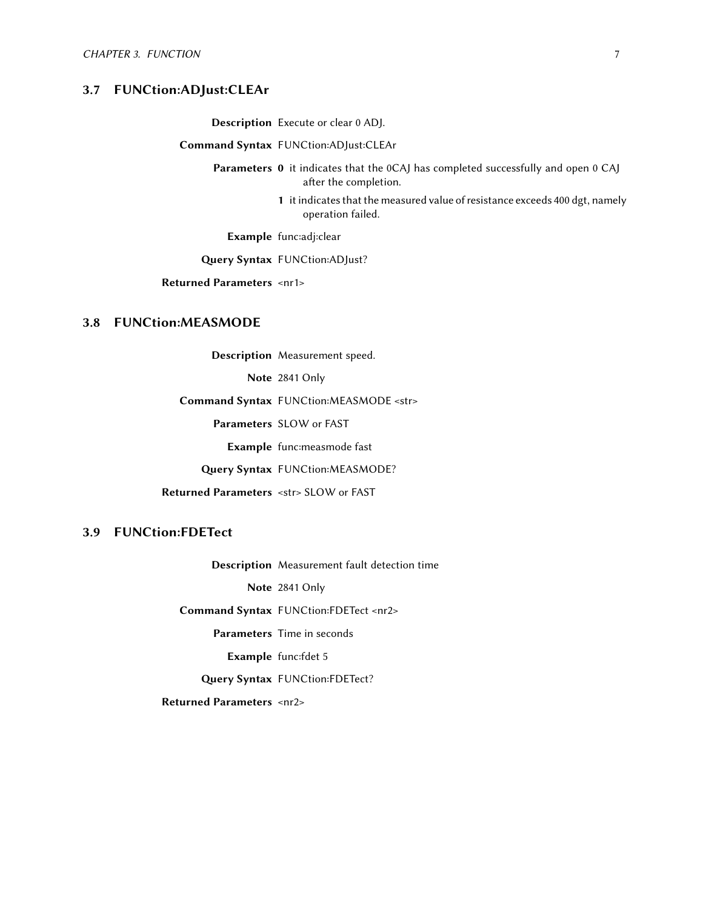#### 3.7 FUNCtion:ADJust:CLEAr

Description Execute or clear 0 ADJ.

Command Syntax FUNCtion:ADJust:CLEAr

Parameters 0 it indicates that the 0CAJ has completed successfully and open 0 CAJ after the completion.

> 1 it indicates that the measured value of resistance exceeds 400 dgt, namely operation failed.

Example func:adj:clear

Query Syntax FUNCtion:ADJust?

Returned Parameters <nr1>

#### <span id="page-10-0"></span>3.8 FUNCtion:MEASMODE

Description Measurement speed.

Note 2841 Only

Command Syntax FUNCtion:MEASMODE <str>

Parameters SLOW or FAST

Example func:measmode fast

Query Syntax FUNCtion:MEASMODE?

Returned Parameters <str> SLOW or FAST

#### <span id="page-10-1"></span>3.9 FUNCtion:FDETect

Description Measurement fault detection time

Note 2841 Only

Command Syntax FUNCtion:FDETect <nr2>

Parameters Time in seconds

Example func:fdet 5

Query Syntax FUNCtion:FDETect?

<span id="page-10-2"></span>Returned Parameters <nr2>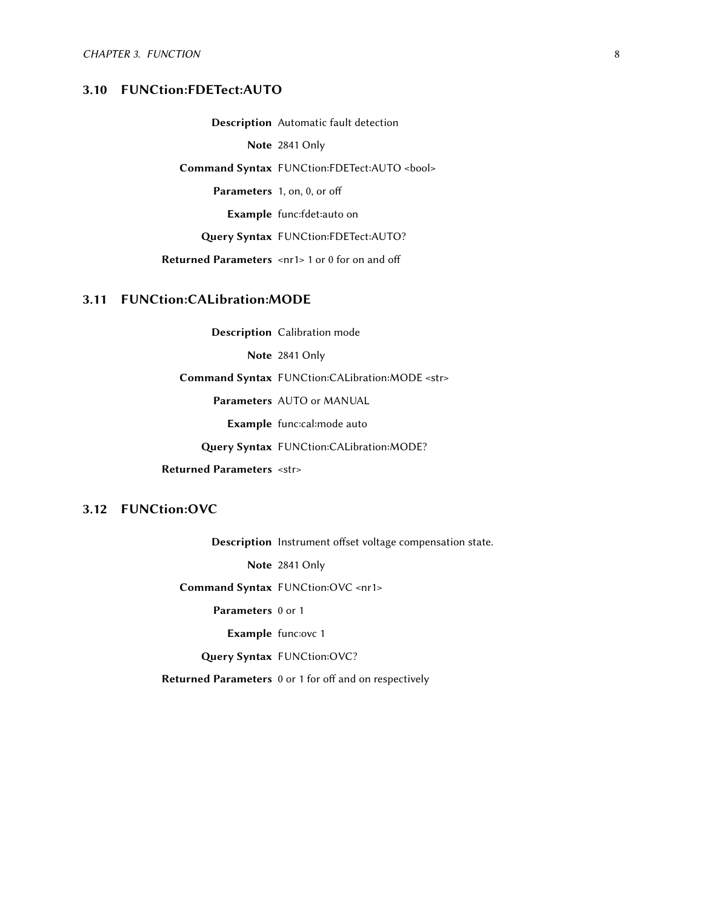#### 3.10 FUNCtion:FDETect:AUTO

Description Automatic fault detection

Note 2841 Only

Command Syntax FUNCtion:FDETect:AUTO <br/>bool>

Parameters 1, on, 0, or off

Example func:fdet:auto on

Query Syntax FUNCtion:FDETect:AUTO?

Returned Parameters <nr1> 1 or 0 for on and off

#### <span id="page-11-0"></span>3.11 FUNCtion:CALibration:MODE

Description Calibration mode

Note 2841 Only

Command Syntax FUNCtion:CALibration:MODE <str>

Parameters AUTO or MANUAL

Example func:cal:mode auto

Query Syntax FUNCtion:CALibration:MODE?

Returned Parameters <str>

#### <span id="page-11-1"></span>3.12 FUNCtion:OVC

Description Instrument offset voltage compensation state.

Note 2841 Only

Command Syntax FUNCtion:OVC <nr1>

Parameters 0 or 1

Example func:ovc 1

Query Syntax FUNCtion:OVC?

Returned Parameters 0 or 1 for off and on respectively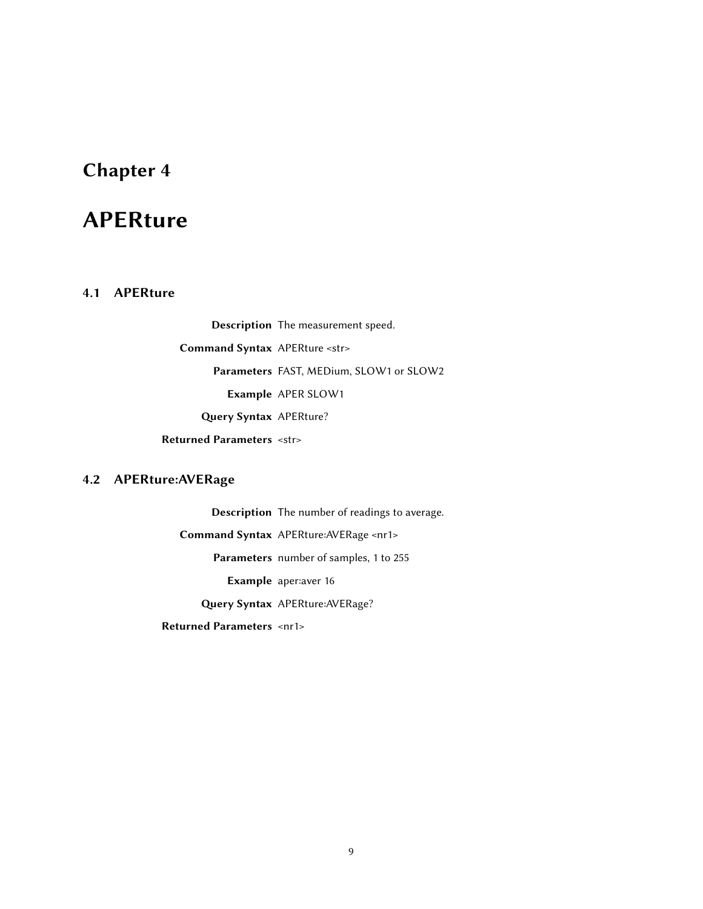## <span id="page-12-0"></span>APERture

#### <span id="page-12-1"></span>4.1 APERture

Description The measurement speed. Command Syntax APERture <str> Parameters FAST, MEDium, SLOW1 or SLOW2 Example APER SLOW1 Query Syntax APERture? Returned Parameters <str>

#### <span id="page-12-2"></span>4.2 APERture:AVERage

Description The number of readings to average. Command Syntax APERture:AVERage <nr1> Parameters number of samples, 1 to 255 Example aper:aver 16

Query Syntax APERture: AVERage?

Returned Parameters <nr1>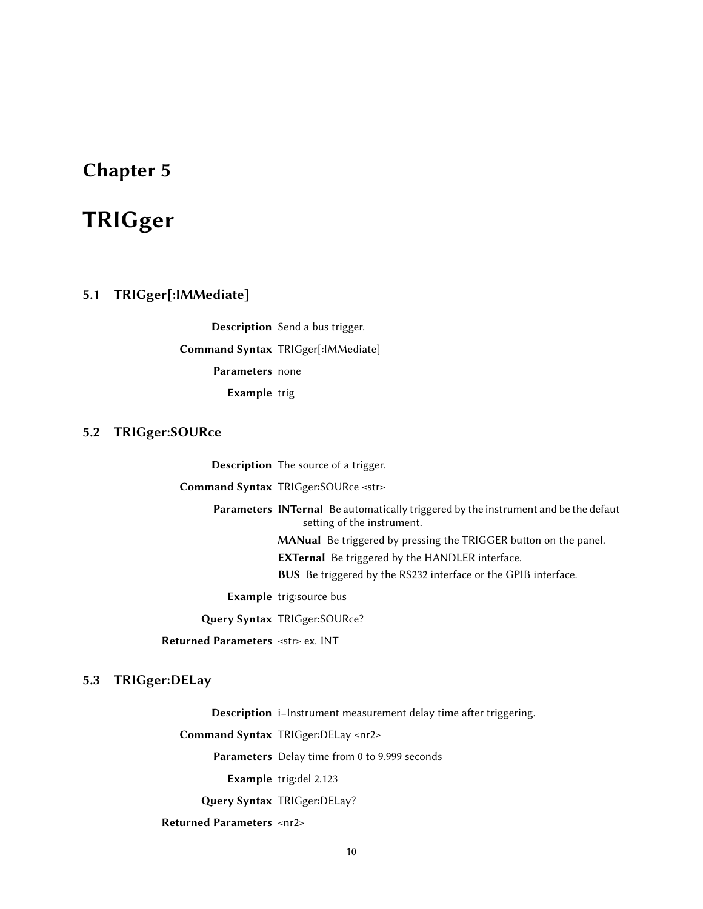## <span id="page-13-0"></span>TRIGger

#### <span id="page-13-1"></span>5.1 TRIGger[:IMMediate]

Description Send a bus trigger. Command Syntax TRIGger[:IMMediate] Parameters none Example trig

#### <span id="page-13-2"></span>5.2 TRIGger:SOURce

Description The source of a trigger. Command Syntax TRIGger:SOURce <str> Parameters INTernal Be automatically triggered by the instrument and be the defaut setting of the instrument. MANual Be triggered by pressing the TRIGGER button on the panel. EXTernal Be triggered by the HANDLER interface. BUS Be triggered by the RS232 interface or the GPIB interface. Example trig:source bus Query Syntax TRIGger:SOURce?

Returned Parameters <str> ex. INT

#### <span id="page-13-3"></span>5.3 TRIGger:DELay

Description i=Instrument measurement delay time after triggering.

Command Syntax TRIGger:DELay <nr2>

Parameters Delay time from 0 to 9.999 seconds

Example trig:del 2.123

Query Syntax TRIGger:DELay?

<span id="page-13-4"></span>Returned Parameters <nr2>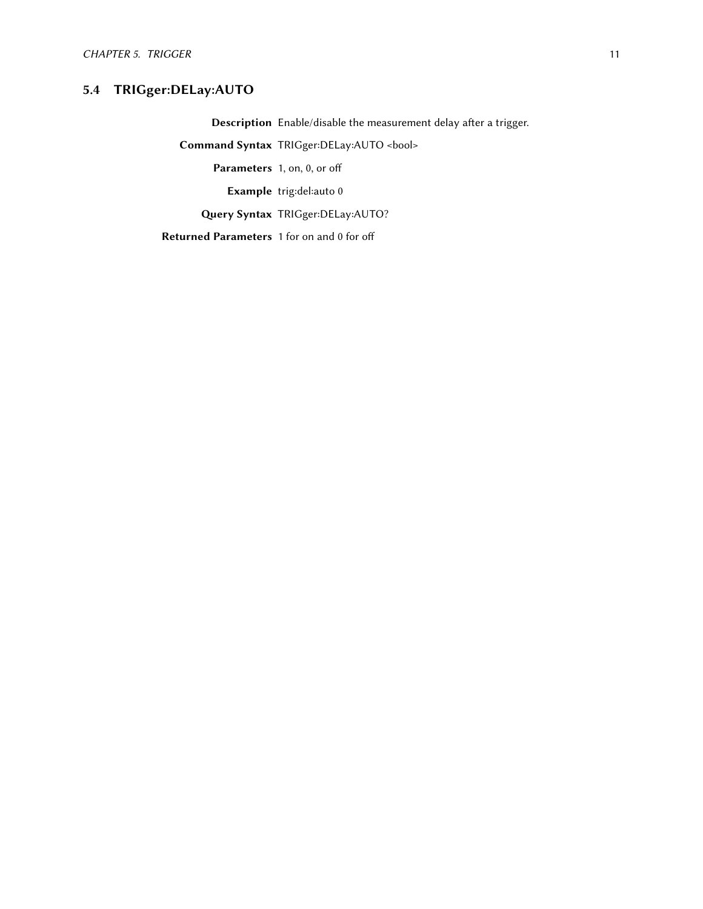#### 5.4 TRIGger:DELay:AUTO

Description Enable/disable the measurement delay after a trigger.

Command Syntax TRIGger:DELay:AUTO <br/>bool>

Parameters 1, on, 0, or off

Example trig:del:auto 0

Query Syntax TRIGger:DELay:AUTO?

Returned Parameters 1 for on and 0 for off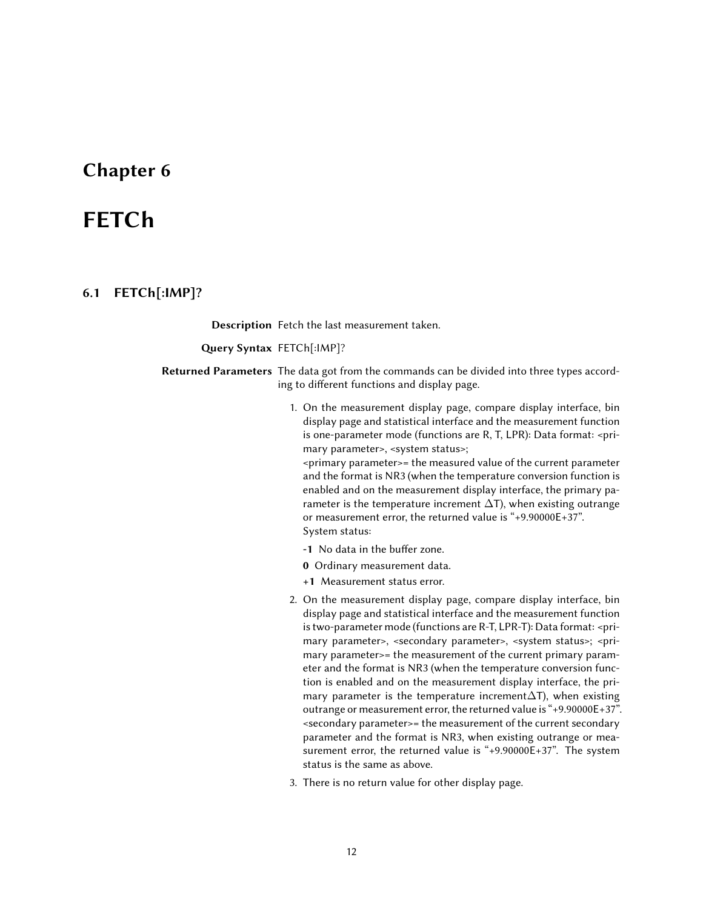## <span id="page-15-0"></span>FETCh

#### <span id="page-15-1"></span>6.1 FETCh[:IMP]?

Description Fetch the last measurement taken.

Query Syntax FETCh[:IMP]?

Returned Parameters The data got from the commands can be divided into three types according to different functions and display page.

> 1. On the measurement display page, compare display interface, bin display page and statistical interface and the measurement function is one-parameter mode (functions are R, T, LPR): Data format: <primary parameter>, <system status>;

<primary parameter>= the measured value of the current parameter and the format is NR3 (when the temperature conversion function is enabled and on the measurement display interface, the primary parameter is the temperature increment  $\Delta T$ ), when existing outrange or measurement error, the returned value is "+9.90000E+37". System status:

- -1 No data in the buffer zone.
- 0 Ordinary measurement data.
- +1 Measurement status error.
- 2. On the measurement display page, compare display interface, bin display page and statistical interface and the measurement function is two-parameter mode (functions are R-T, LPR-T): Data format: <primary parameter>, <secondary parameter>, <system status>; <primary parameter>= the measurement of the current primary parameter and the format is NR3 (when the temperature conversion function is enabled and on the measurement display interface, the primary parameter is the temperature increment $\Delta T$ ), when existing outrange or measurement error, the returned value is "+9.90000E+37". <secondary parameter>= the measurement of the current secondary parameter and the format is NR3, when existing outrange or measurement error, the returned value is "+9.90000E+37". The system status is the same as above.
- <span id="page-15-2"></span>3. There is no return value for other display page.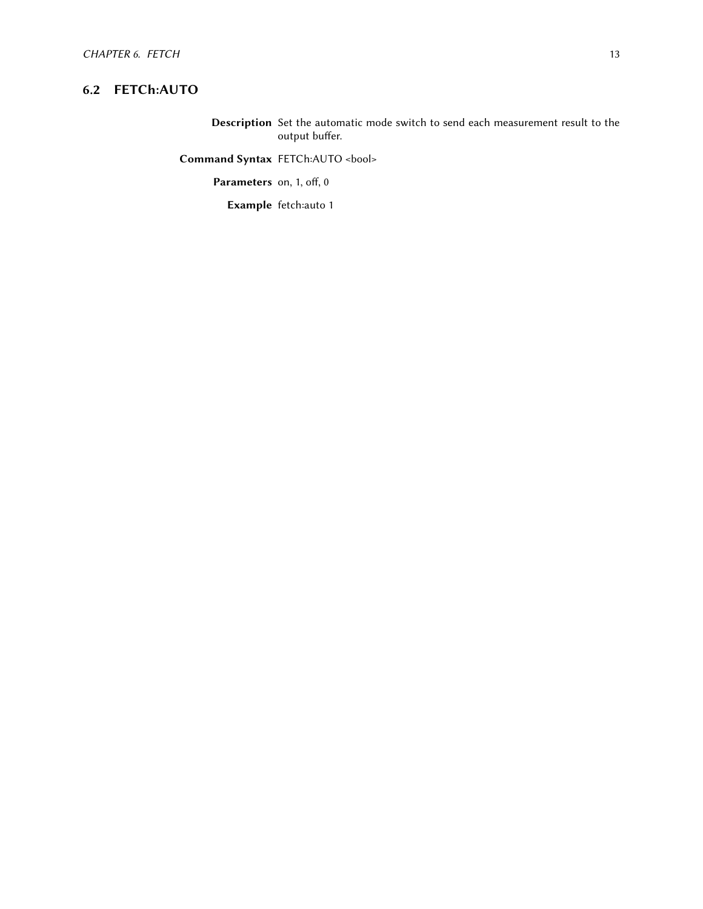#### 6.2 FETCh:AUTO

Description Set the automatic mode switch to send each measurement result to the output buffer.

Command Syntax FETCh:AUTO <br/>bool>

Parameters on, 1, off,  $0$ 

Example fetch:auto 1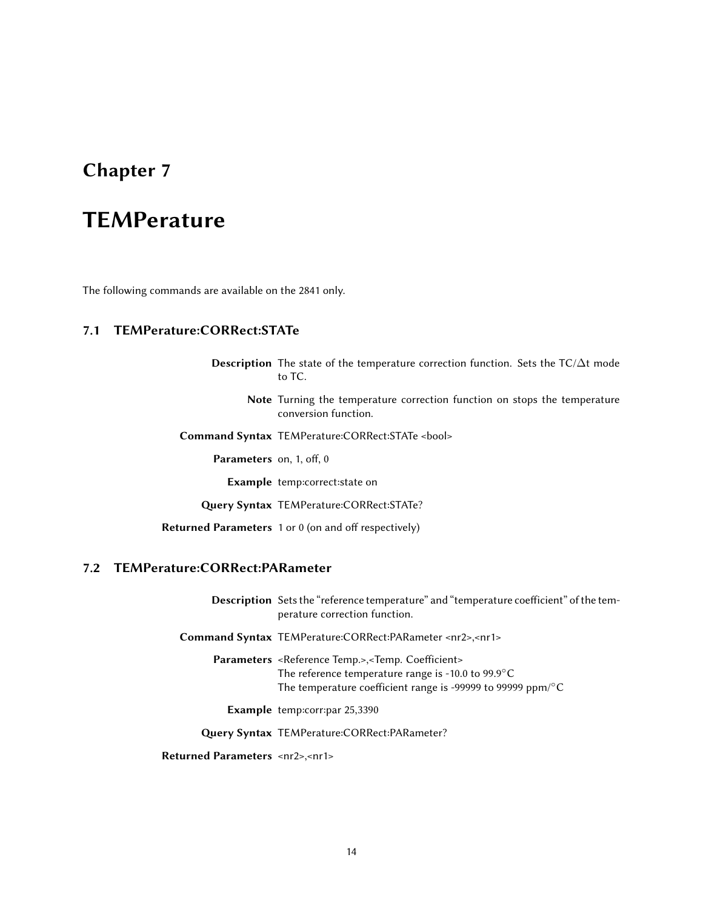## <span id="page-17-0"></span>**TEMPerature**

<span id="page-17-1"></span>The following commands are available on the 2841 only.

#### 7.1 TEMPerature:CORRect:STATe

Description The state of the temperature correction function. Sets the TC/∆t mode to TC.

- Note Turning the temperature correction function on stops the temperature conversion function.
- Command Syntax TEMPerature:CORRect:STATe <bool>

Parameters on, 1, off, 0

Example temp:correct:state on

Query Syntax TEMPerature:CORRect:STATe?

Returned Parameters  $1$  or  $0$  (on and off respectively)

#### <span id="page-17-2"></span>7.2 TEMPerature:CORRect:PARameter

Description Sets the "reference temperature" and "temperature coefficient" of the temperature correction function.

Command Syntax TEMPerature:CORRect:PARameter <nr2>,<nr1>

Parameters <Reference Temp.>,<Temp. Coefficient> The reference temperature range is -10.0 to 99.9°C The temperature coefficient range is -99999 to 99999 ppm/°C

Example temp:corr:par 25,3390

Query Syntax TEMPerature:CORRect:PARameter?

<span id="page-17-3"></span>Returned Parameters <nr2>,<nr1>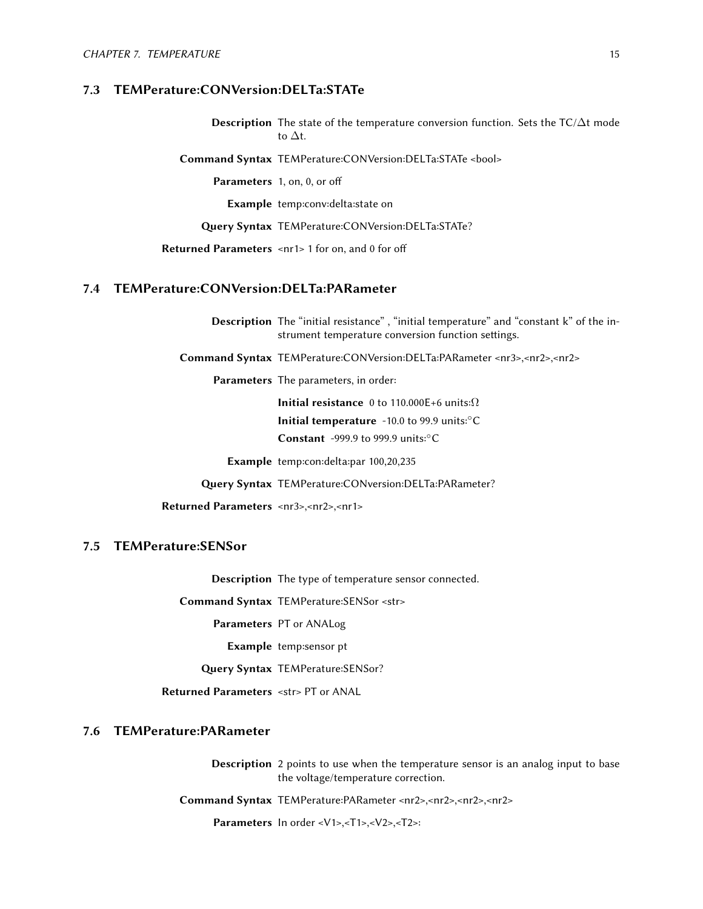#### 7.3 TEMPerature:CONVersion:DELTa:STATe

Description The state of the temperature conversion function. Sets the TC/∆t mode to ∆t.

Command Syntax TEMPerature:CONVersion:DELTa:STATe <bool>

Parameters 1, on, 0, or off

Example temp:conv:delta:state on

Query Syntax TEMPerature:CONVersion:DELTa:STATe?

Returned Parameters <nr1> 1 for on, and 0 for off

#### <span id="page-18-0"></span>7.4 TEMPerature:CONVersion:DELTa:PARameter

Description The "initial resistance" , "initial temperature" and "constant k" of the instrument temperature conversion function settings.

Command Syntax TEMPerature:CONVersion:DELTa:PARameter <nr3>,<nr2>,<nr2>

Parameters The parameters, in order:

Initial resistance 0 to 110.000E+6 units: $\Omega$ Initial temperature -10.0 to 99.9 units:◦C

Constant -999.9 to 999.9 units:◦C

Example temp:con:delta:par 100,20,235

Query Syntax TEMPerature:CONversion:DELTa:PARameter?

Returned Parameters <nr3>,<nr2>,<nr1>

#### <span id="page-18-1"></span>7.5 TEMPerature:SENSor

Description The type of temperature sensor connected.

Command Syntax TEMPerature:SENSor <str>

Parameters PT or ANALog

Example temp:sensor pt

Query Syntax TEMPerature:SENSor?

Returned Parameters <str>PT or ANAL

#### <span id="page-18-2"></span>7.6 TEMPerature:PARameter

Description 2 points to use when the temperature sensor is an analog input to base the voltage/temperature correction.

Command Syntax TEMPerature:PARameter <nr2>,<nr2>,<nr2>,<nr2>

Parameters In order <V1>,<T1>,<V2>,<T2>: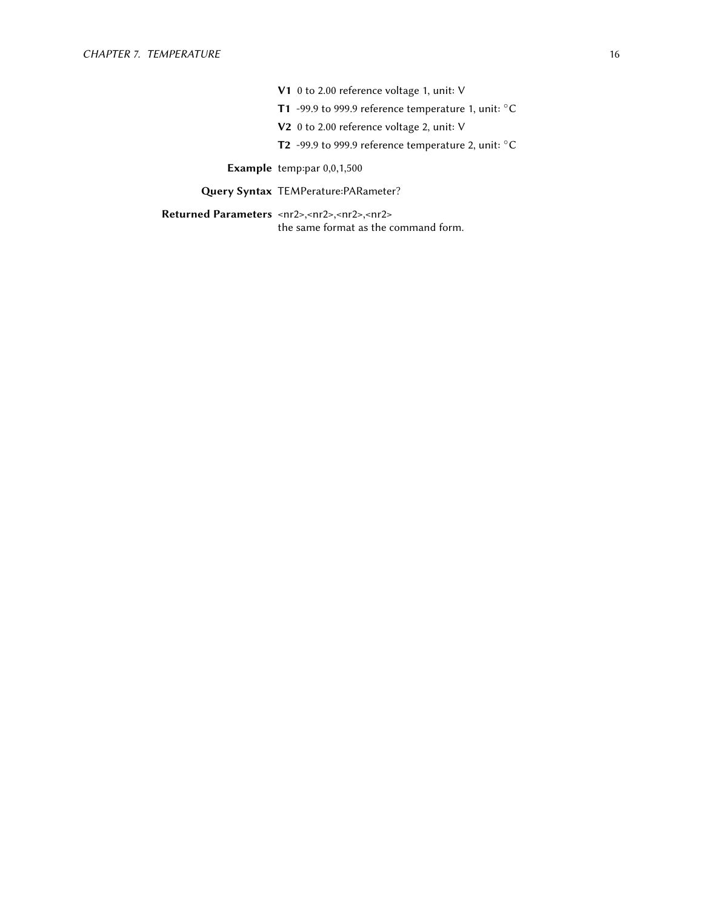- V1 0 to 2.00 reference voltage 1, unit: V
- T1 -99.9 to 999.9 reference temperature 1, unit: °C
- V2 0 to 2.00 reference voltage 2, unit: V
- T2 -99.9 to 999.9 reference temperature 2, unit: °C

Example temp:par 0,0,1,500

Query Syntax TEMPerature: PARameter?

Returned Parameters <nr2>,<nr2>,<nr2>,<nr2> the same format as the command form.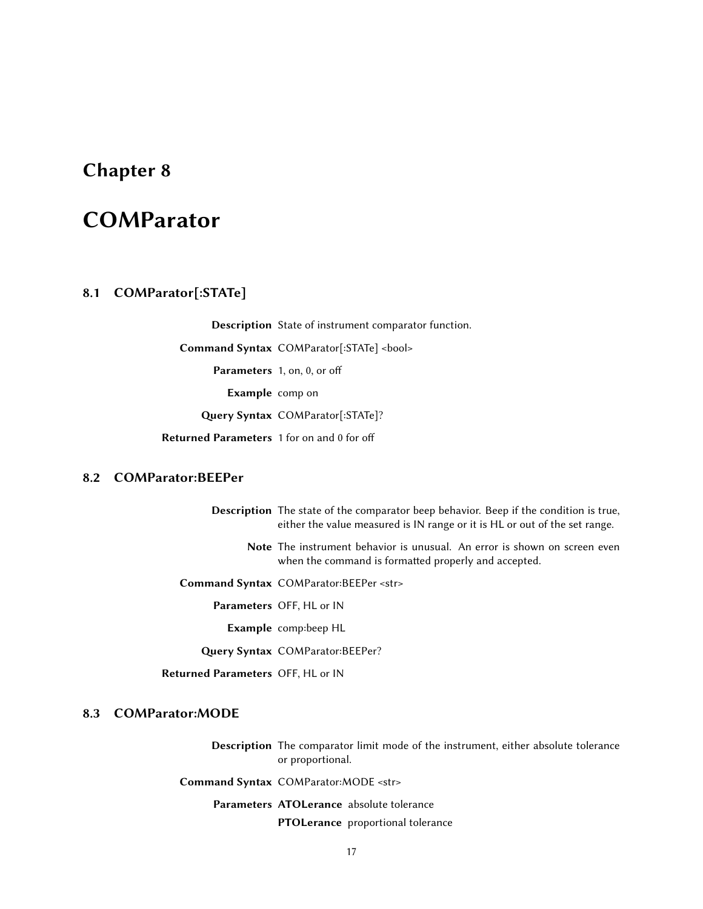## <span id="page-20-0"></span>**COMParator**

#### <span id="page-20-1"></span>8.1 COMParator[:STATe]

Description State of instrument comparator function. Command Syntax COMParator[:STATe] <br/>bool> Parameters 1, on, 0, or off Example comp on Query Syntax COMParator[:STATe]? Returned Parameters 1 for on and 0 for off

#### <span id="page-20-2"></span>8.2 COMParator:BEEPer

Description The state of the comparator beep behavior. Beep if the condition is true, either the value measured is IN range or it is HL or out of the set range.

- Note The instrument behavior is unusual. An error is shown on screen even when the command is formatted properly and accepted.
- Command Syntax COMParator:BEEPer <str>

Parameters OFF, HL or IN

Example comp:beep HL

Query Syntax COMParator:BEEPer?

Returned Parameters OFF, HL or IN

#### <span id="page-20-3"></span>8.3 COMParator:MODE

Description The comparator limit mode of the instrument, either absolute tolerance or proportional.

Command Syntax COMParator:MODE <str>

Parameters ATOLerance absolute tolerance PTOLerance proportional tolerance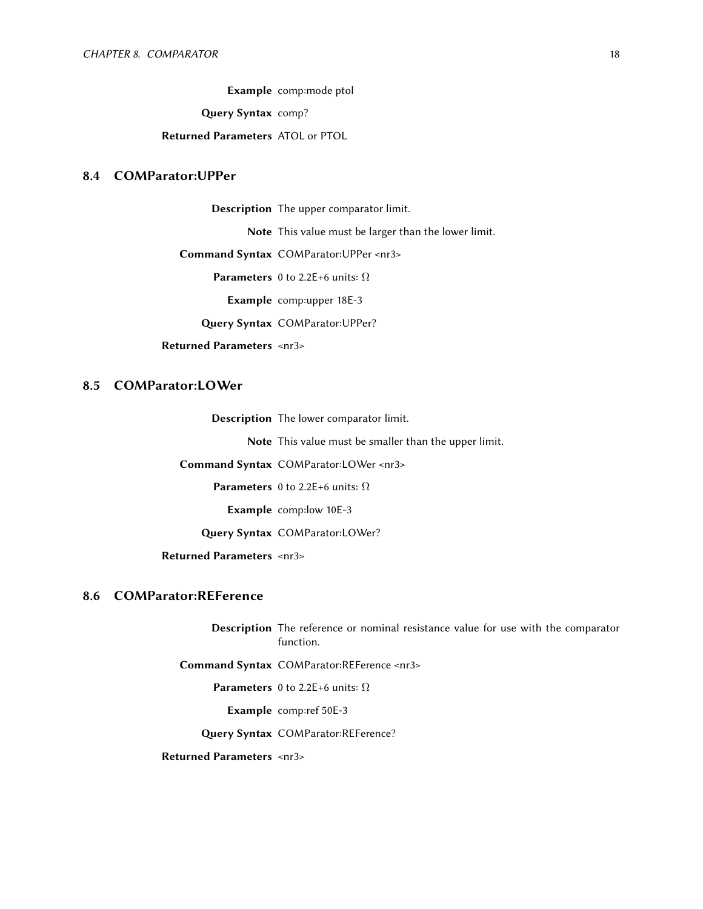Example comp:mode ptol

Query Syntax comp?

#### Returned Parameters ATOL or PTOL

#### <span id="page-21-0"></span>8.4 COMParator:UPPer

Description The upper comparator limit.

Note This value must be larger than the lower limit.

Command Syntax COMParator:UPPer <nr3>

**Parameters** 0 to 2.2E+6 units:  $\Omega$ 

Example comp:upper 18E-3

Query Syntax COMParator: UPPer?

Returned Parameters <nr3>

#### <span id="page-21-1"></span>8.5 COMParator:LOWer

Description The lower comparator limit.

Note This value must be smaller than the upper limit.

Command Syntax COMParator:LOWer <nr3>

**Parameters** 0 to 2.2E+6 units:  $\Omega$ 

Example comp:low 10E-3

Query Syntax COMParator:LOWer?

Returned Parameters <nr3>

#### <span id="page-21-2"></span>8.6 COMParator:REFerence

Description The reference or nominal resistance value for use with the comparator function.

Command Syntax COMParator:REFerence <nr3>

**Parameters** 0 to 2.2E+6 units:  $\Omega$ 

Example comp:ref 50E-3

Query Syntax COMParator:REFerence?

<span id="page-21-3"></span>Returned Parameters <nr3>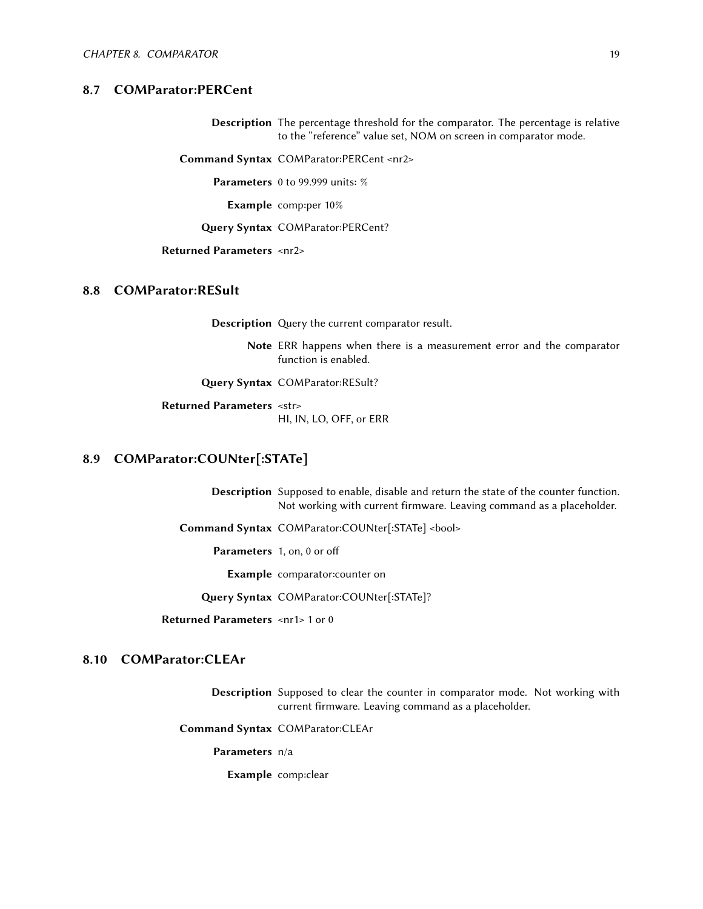#### 8.7 COMParator:PERCent

Description The percentage threshold for the comparator. The percentage is relative to the "reference" value set, NOM on screen in comparator mode.

Command Syntax COMParator:PERCent <nr2>

Parameters 0 to 99.999 units: %

Example comp:per 10%

Query Syntax COMParator:PERCent?

#### Returned Parameters <nr2>

#### <span id="page-22-0"></span>8.8 COMParator:RESult

Description Query the current comparator result.

Note ERR happens when there is a measurement error and the comparator function is enabled.

Query Syntax COMParator:RESult?

Returned Parameters <str> HI, IN, LO, OFF, or ERR

#### <span id="page-22-1"></span>8.9 COMParator:COUNter[:STATe]

Description Supposed to enable, disable and return the state of the counter function. Not working with current firmware. Leaving command as a placeholder.

Command Syntax COMParator:COUNter[:STATe] <bool>

Parameters 1, on, 0 or off

Example comparator:counter on

Query Syntax COMParator:COUNter[:STATe]?

Returned Parameters <nr1> 1 or 0

#### <span id="page-22-2"></span>8.10 COMParator:CLEAr

Description Supposed to clear the counter in comparator mode. Not working with current firmware. Leaving command as a placeholder.

Command Syntax COMParator:CLEAr

Parameters n/a

Example comp:clear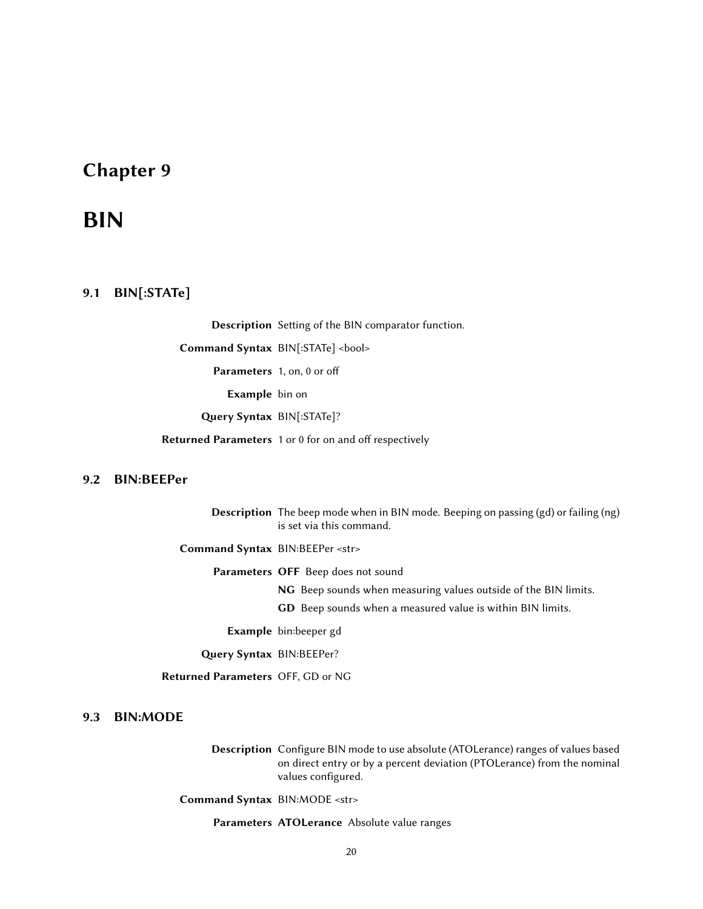## <span id="page-23-0"></span>BIN

#### <span id="page-23-1"></span>9.1 BIN[:STATe]

Description Setting of the BIN comparator function.

Command Syntax BIN[:STATe] <br/>bool>

Parameters 1, on, 0 or off

Example bin on

Query Syntax BIN[:STATe]?

Returned Parameters 1 or 0 for on and off respectively

#### <span id="page-23-2"></span>9.2 BIN:BEEPer

Description The beep mode when in BIN mode. Beeping on passing (gd) or failing (ng) is set via this command.

Command Syntax BIN:BEEPer <str>

Parameters OFF Beep does not sound

NG Beep sounds when measuring values outside of the BIN limits.

GD Beep sounds when a measured value is within BIN limits.

Example bin:beeper gd

Query Syntax BIN:BEEPer?

Returned Parameters OFF, GD or NG

#### <span id="page-23-3"></span>9.3 BIN:MODE

Description Configure BIN mode to use absolute (ATOLerance) ranges of values based on direct entry or by a percent deviation (PTOLerance) from the nominal values configured.

Command Syntax BIN:MODE <str>

Parameters ATOLerance Absolute value ranges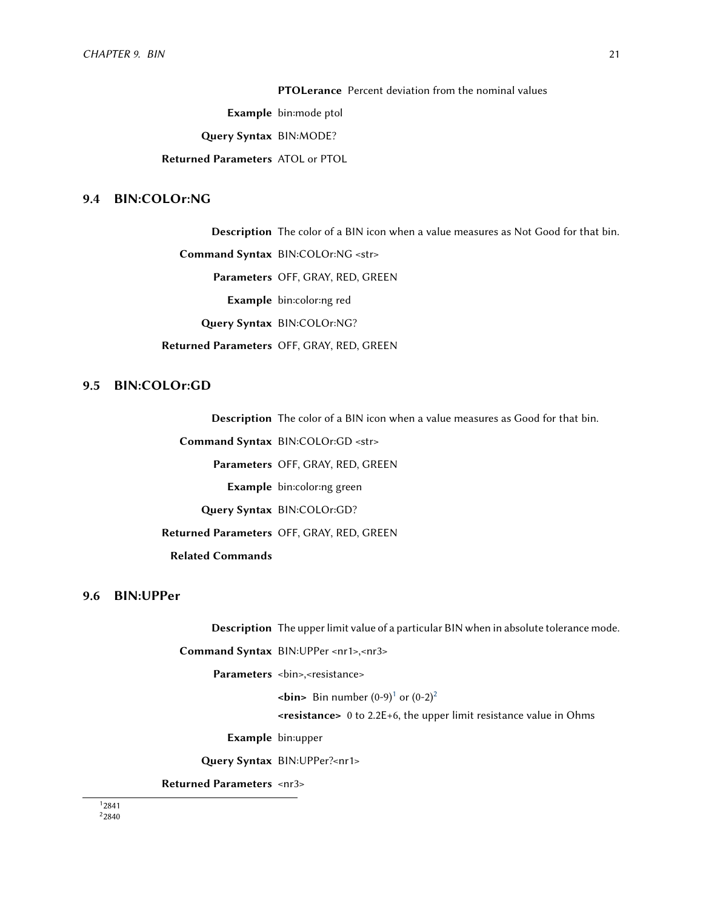PTOLerance Percent deviation from the nominal values

Example bin:mode ptol

Query Syntax BIN: MODE?

Returned Parameters ATOL or PTOL

#### <span id="page-24-0"></span>9.4 BIN:COLOr:NG

Description The color of a BIN icon when a value measures as Not Good for that bin.

Command Syntax BIN:COLOr:NG <str>

Parameters OFF, GRAY, RED, GREEN

Example bin:color:ng red

Query Syntax BIN:COLOr:NG?

Returned Parameters OFF, GRAY, RED, GREEN

#### <span id="page-24-1"></span>9.5 BIN:COLOr:GD

Description The color of a BIN icon when a value measures as Good for that bin.

Command Syntax BIN:COLOr:GD <str>

Parameters OFF, GRAY, RED, GREEN

Example bin:color:ng green

Query Syntax BIN:COLOr:GD?

Returned Parameters OFF, GRAY, RED, GREEN

Related Commands

#### <span id="page-24-2"></span>9.6 BIN:UPPer

Description The upper limit value of a particular BIN when in absolute tolerance mode.

Command Syntax BIN:UPPer <nr1>,<nr3>

Parameters <br/> <br/> <br/> <br/>svessistance>

 $\text{bin}$  Bin number (0-9)<sup>[1](#page-24-4)</sup> or (0-[2](#page-24-5))<sup>2</sup>

<resistance> 0 to 2.2E+6, the upper limit resistance value in Ohms

Example bin:upper

Query Syntax BIN:UPPer?<nr1>

Returned Parameters <nr3>

<span id="page-24-5"></span><span id="page-24-4"></span><span id="page-24-3"></span>1 2841 <sup>2</sup>2840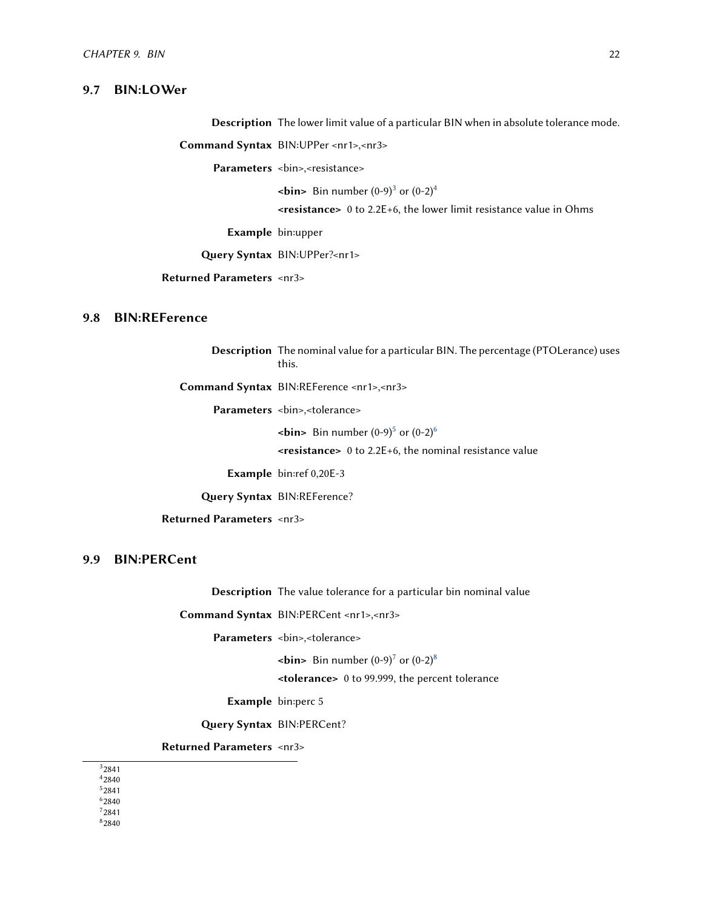#### 9.7 BIN:LOWer

Description The lower limit value of a particular BIN when in absolute tolerance mode.

Command Syntax BIN:UPPer <nr1>,<nr3>

Parameters <bin>,<resistance>

 $\text{bin}$  Bin number (0-9)<sup>[3](#page-25-3)</sup> or (0-2)<sup>[4](#page-25-4)</sup>

<resistance> 0 to 2.2E+6, the lower limit resistance value in Ohms

Example bin:upper

Query Syntax BIN:UPPer?<nr1>

Returned Parameters <nr3>

#### <span id="page-25-0"></span>9.8 BIN:REFerence

Description The nominal value for a particular BIN. The percentage (PTOLerance) uses this.

Command Syntax BIN:REFerence <nr1>,<nr3>

Parameters <br/> <br/> <tolerance>

 $\text{bin}$  Bin number (0-9)<sup>[5](#page-25-5)</sup> or (0-2)<sup>[6](#page-25-6)</sup>

<resistance> 0 to 2.2E+6, the nominal resistance value

Example bin:ref 0,20E-3

Query Syntax BIN:REFerence?

Returned Parameters <nr3>

#### <span id="page-25-1"></span>9.9 BIN:PERCent

Description The value tolerance for a particular bin nominal value

Command Syntax BIN:PERCent <nr1>,<nr3>

Parameters <br/> <br/> <br/> <br/> <tolerance>

 $\text{bin}$  Bin number (0-9)<sup>[7](#page-25-7)</sup> or (0-2)<sup>[8](#page-25-8)</sup>

<tolerance> 0 to 99.999, the percent tolerance

Example bin:perc 5

Query Syntax BIN:PERCent?

Returned Parameters <nr3>

<span id="page-25-4"></span><span id="page-25-3"></span><span id="page-25-2"></span>3 2841 4 2840

<span id="page-25-5"></span>5 2841

<span id="page-25-6"></span>6 2840

<span id="page-25-8"></span><span id="page-25-7"></span>7 2841 8 2840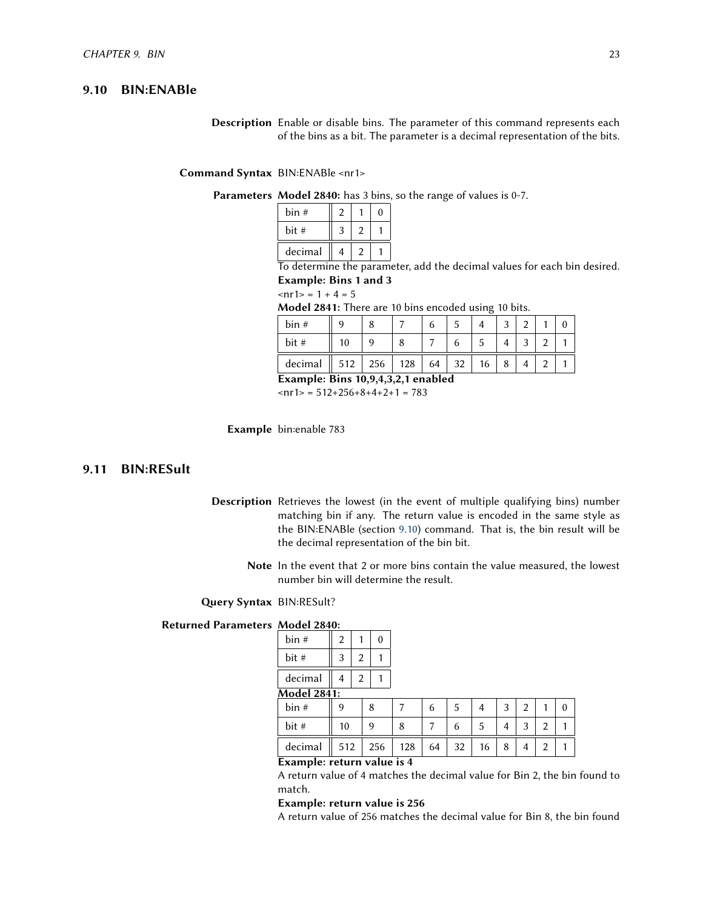#### 9.10 BIN:ENABle

Description Enable or disable bins. The parameter of this command represents each of the bins as a bit. The parameter is a decimal representation of the bits.

Command Syntax BIN:ENABle <nr1>

#### Parameters Model 2840: has 3 bins, so the range of values is 0-7.

| bin #   |   |   |  |
|---------|---|---|--|
| bit #   | 2 |   |  |
| decimal | 4 | 2 |  |

To determine the parameter, add the decimal values for each bin desired. Example: Bins 1 and 3

$$
ln 1 = 1 + 4 = 5
$$

Model 2841: There are 10 bins encoded using 10 bits.

| bin#    |     |     |     |    |          |    | ◠ | ີ |  |
|---------|-----|-----|-----|----|----------|----|---|---|--|
| bit #   |     |     |     |    |          |    |   | ⌒ |  |
| decimal | 512 | 256 | 128 | 64 | ົາ<br>ےر | 16 | O |   |  |

Example: Bins 10,9,4,3,2,1 enabled

 $\text{snr1}$  = 512+256+8+4+2+1 = 783

Example bin:enable 783

#### <span id="page-26-0"></span>9.11 BIN:RESult

- Description Retrieves the lowest (in the event of multiple qualifying bins) number matching bin if any. The return value is encoded in the same style as the BIN:ENABle (section [9.10\)](#page-25-2) command. That is, the bin result will be the decimal representation of the bin bit.
	- Note In the event that 2 or more bins contain the value measured, the lowest number bin will determine the result.

Query Syntax BIN:RESult?

#### Returned Parameters Model 2840:

| bin #                    | 2                  |   | 0   |           |    |    |    |   |   |                |          |
|--------------------------|--------------------|---|-----|-----------|----|----|----|---|---|----------------|----------|
| bit #                    | 3                  | 2 |     |           |    |    |    |   |   |                |          |
| decimal                  | 4                  | 2 |     |           |    |    |    |   |   |                |          |
|                          | <b>Model 2841:</b> |   |     |           |    |    |    |   |   |                |          |
| bin#                     | 9                  |   | 8   | 7         | 6  | -5 | 4  | 3 | 2 | 1              | $\theta$ |
| bit#                     | 10                 |   | 9   | 8         | 7  | 6  | 5  | 4 | 3 | $\overline{2}$ |          |
| decimal                  | 512                |   | 256 | 128       | 64 | 32 | 16 | 8 | 4 | $\overline{2}$ |          |
| $\overline{\phantom{0}}$ |                    |   |     | $\cdot$ . |    |    |    |   |   |                |          |

Example: return value is 4

A return value of 4 matches the decimal value for Bin 2, the bin found to match.

#### Example: return value is 256

A return value of 256 matches the decimal value for Bin 8, the bin found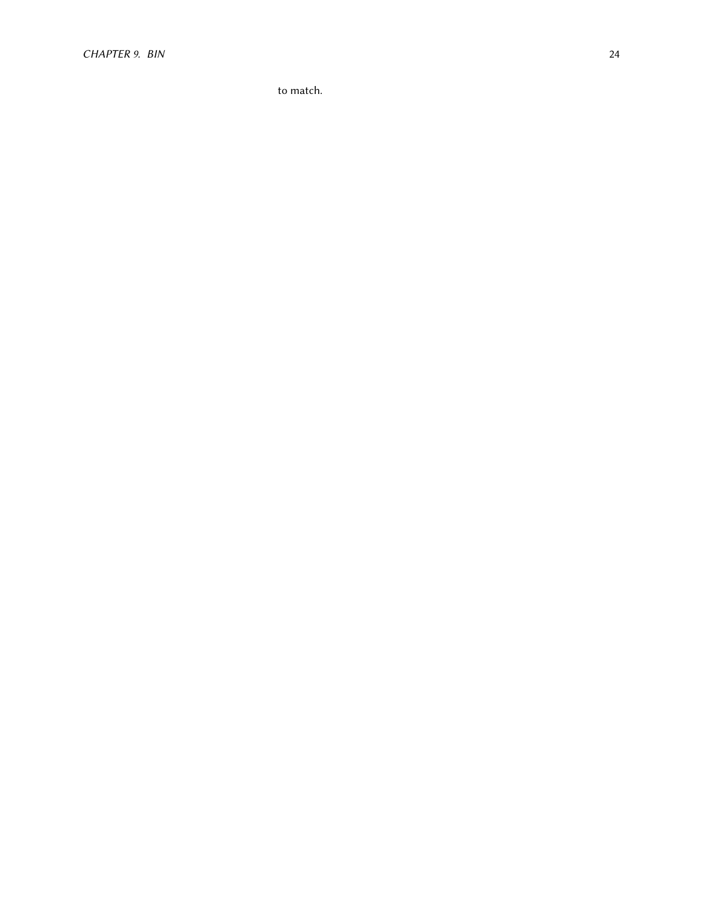to match.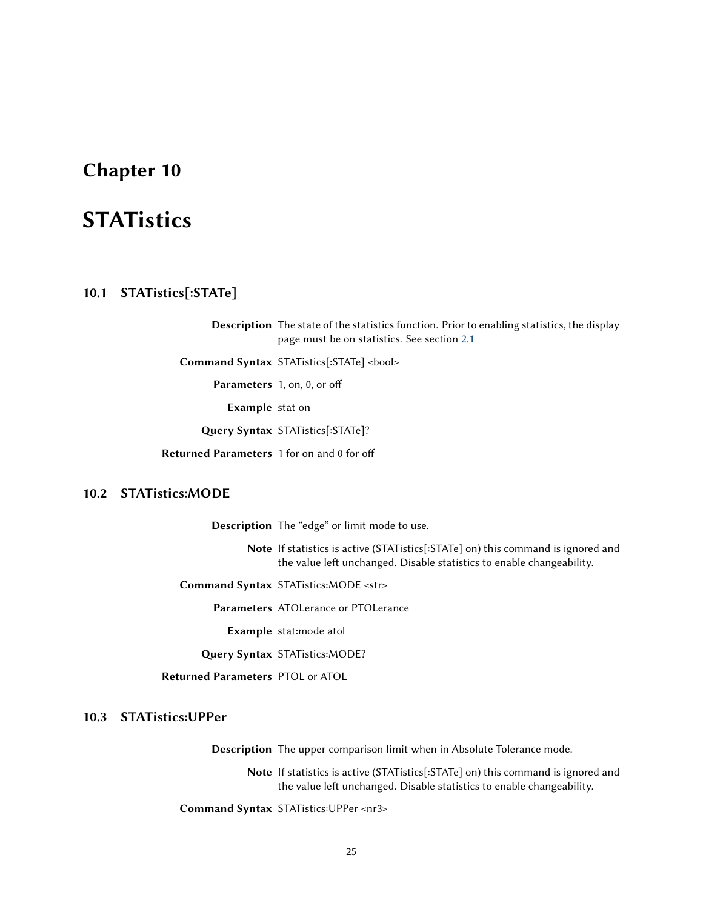## <span id="page-28-0"></span>**STATistics**

#### <span id="page-28-1"></span>10.1 STATistics[:STATe]

Description The state of the statistics function. Prior to enabling statistics, the display page must be on statistics. See section [2.1](#page-7-1)

Command Syntax STATistics[:STATe] <bool>

Parameters 1, on, 0, or off

Example stat on

Query Syntax STATistics[:STATe]?

Returned Parameters 1 for on and 0 for off

#### <span id="page-28-2"></span>10.2 STATistics:MODE

Description The "edge" or limit mode to use.

Note If statistics is active (STATistics[:STATe] on) this command is ignored and the value left unchanged. Disable statistics to enable changeability.

Command Syntax STATistics:MODE <str>

Parameters ATOLerance or PTOLerance

Example stat:mode atol

Query Syntax STATistics: MODE?

Returned Parameters PTOL or ATOL

#### <span id="page-28-3"></span>10.3 STATistics:UPPer

Description The upper comparison limit when in Absolute Tolerance mode.

Note If statistics is active (STATistics[:STATe] on) this command is ignored and the value left unchanged. Disable statistics to enable changeability.

Command Syntax STATistics:UPPer <nr3>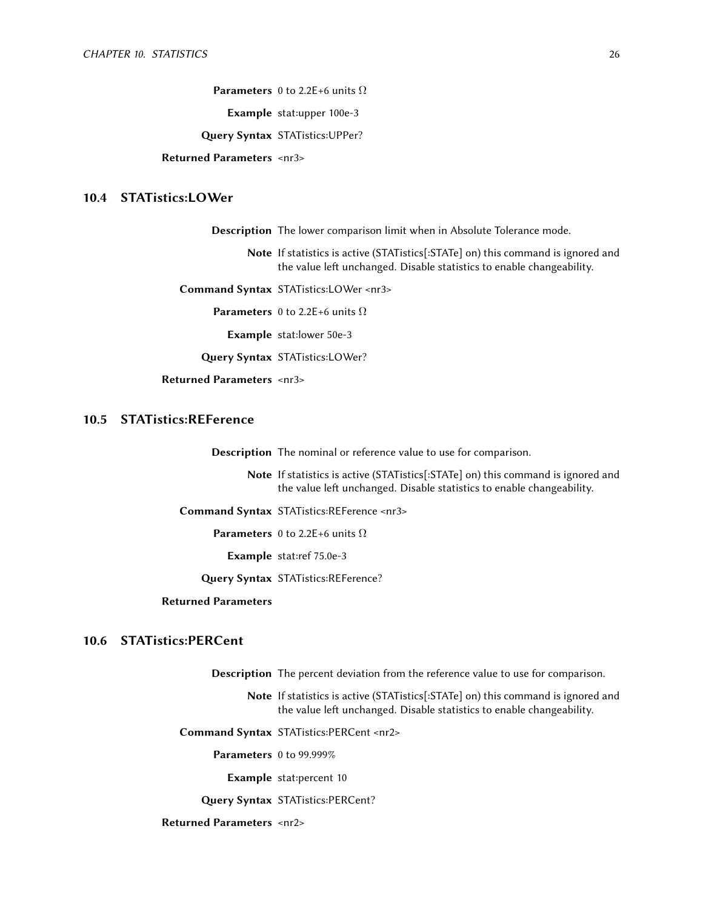**Parameters** 0 to 2.2E+6 units  $\Omega$ 

Example stat:upper 100e-3

Query Syntax STATistics: UPPer?

Returned Parameters <nr3>

#### <span id="page-29-0"></span>10.4 STATistics:LOWer

Description The lower comparison limit when in Absolute Tolerance mode.

Note If statistics is active (STATistics[:STATe] on) this command is ignored and the value left unchanged. Disable statistics to enable changeability.

Command Syntax STATistics:LOWer <nr3>

**Parameters** 0 to 2.2E+6 units  $\Omega$ 

Example stat:lower 50e-3

Query Syntax STATistics:LOWer?

Returned Parameters <nr3>

#### <span id="page-29-1"></span>10.5 STATistics:REFerence

Description The nominal or reference value to use for comparison.

Note If statistics is active (STATistics[:STATe] on) this command is ignored and the value left unchanged. Disable statistics to enable changeability.

Command Syntax STATistics:REFerence <nr3>

**Parameters** 0 to 2.2E+6 units  $\Omega$ 

Example stat:ref 75.0e-3

Query Syntax STATistics:REFerence?

#### Returned Parameters

#### <span id="page-29-2"></span>10.6 STATistics:PERCent

Description The percent deviation from the reference value to use for comparison.

Note If statistics is active (STATistics[:STATe] on) this command is ignored and the value left unchanged. Disable statistics to enable changeability.

Command Syntax STATistics:PERCent <nr2>

Parameters 0 to 99.999%

Example stat:percent 10

Query Syntax STATistics:PERCent?

<span id="page-29-3"></span>Returned Parameters <nr2>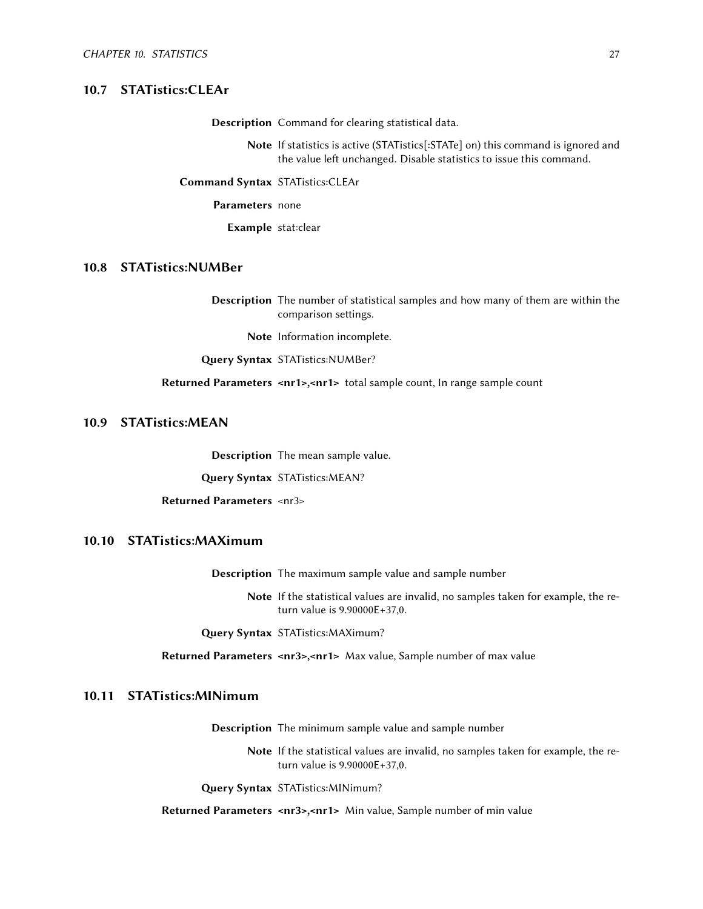#### 10.7 STATistics:CLEAr

Description Command for clearing statistical data.

Note If statistics is active (STATistics[:STATe] on) this command is ignored and the value left unchanged. Disable statistics to issue this command.

Command Syntax STATistics:CLEAr

Parameters none

Example stat:clear

#### <span id="page-30-0"></span>10.8 STATistics:NUMBer

Description The number of statistical samples and how many of them are within the comparison settings.

Note Information incomplete.

Query Syntax STATistics:NUMBer?

Returned Parameters <nr1>,<nr1> total sample count, In range sample count

#### <span id="page-30-1"></span>10.9 STATistics:MEAN

Description The mean sample value.

Query Syntax STATistics:MEAN?

Returned Parameters <nr3>

#### <span id="page-30-2"></span>10.10 STATistics:MAXimum

Description The maximum sample value and sample number

Note If the statistical values are invalid, no samples taken for example, the return value is 9.90000E+37,0.

Query Syntax STATistics: MAXimum?

Returned Parameters <nr3>,<nr1> Max value, Sample number of max value

#### <span id="page-30-3"></span>10.11 STATistics:MINimum

Description The minimum sample value and sample number

Note If the statistical values are invalid, no samples taken for example, the return value is 9.90000E+37,0.

Query Syntax STATistics: MINimum?

<span id="page-30-4"></span>Returned Parameters <nr3>,<nr1> Min value, Sample number of min value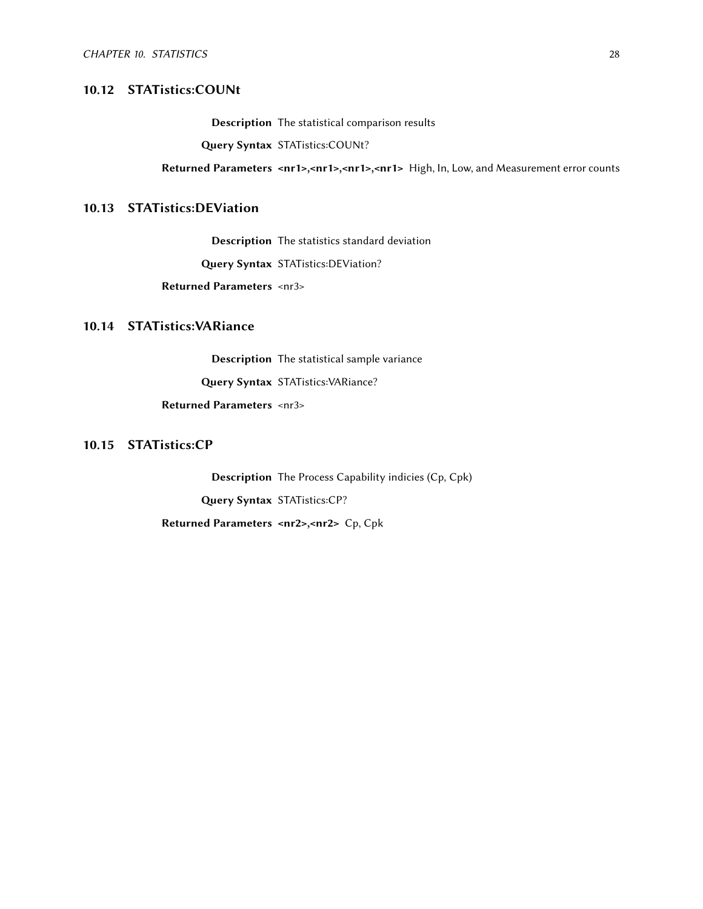#### 10.12 STATistics:COUNt

Description The statistical comparison results

Query Syntax STATistics:COUNt?

Returned Parameters <nr1>,<nr1>,<nr1>,<nr1> High, In, Low, and Measurement error counts

#### <span id="page-31-0"></span>10.13 STATistics:DEViation

Description The statistics standard deviation

Query Syntax STATistics:DEViation?

Returned Parameters <nr3>

#### <span id="page-31-1"></span>10.14 STATistics:VARiance

Description The statistical sample variance Query Syntax STATistics:VARiance? Returned Parameters <nr3>

#### <span id="page-31-2"></span>10.15 STATistics:CP

Description The Process Capability indicies (Cp, Cpk) Query Syntax STATistics:CP? Returned Parameters <nr2>,<nr2> Cp, Cpk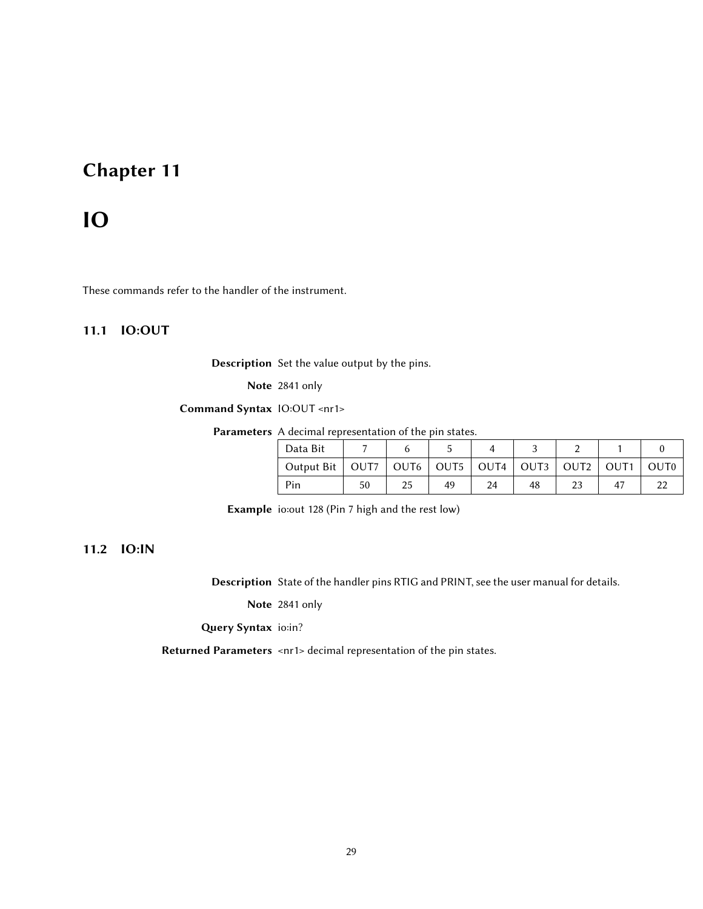## <span id="page-32-0"></span>IO

<span id="page-32-1"></span>These commands refer to the handler of the instrument.

#### 11.1 IO:OUT

Description Set the value output by the pins.

Note 2841 only

Command Syntax IO:OUT <nr1>

Parameters A decimal representation of the pin states.

| Data Bit                                                    |    |    |    |  |                  |
|-------------------------------------------------------------|----|----|----|--|------------------|
| Output Bit   OUT7   OUT6   OUT5   OUT4   OUT3   OUT2   OUT1 |    |    |    |  | OUT <sub>0</sub> |
| Pin                                                         | 50 | 49 | 48 |  |                  |

Example io:out 128 (Pin 7 high and the rest low)

#### <span id="page-32-2"></span>11.2 IO:IN

Description State of the handler pins RTIG and PRINT, see the user manual for details.

Note 2841 only

Query Syntax io:in?

Returned Parameters <nr1> decimal representation of the pin states.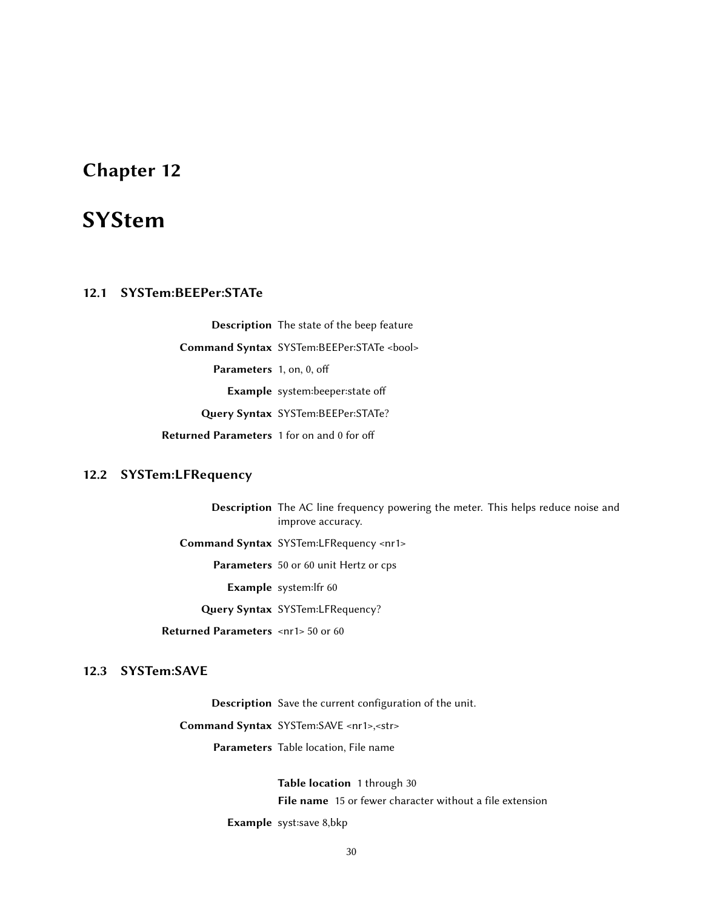## <span id="page-33-0"></span>**SYStem**

#### <span id="page-33-1"></span>12.1 SYSTem:BEEPer:STATe

Description The state of the beep feature Command Syntax SYSTem:BEEPer:STATe <bool> Parameters 1, on, 0, off Example system:beeper:state o Query Syntax SYSTem:BEEPer:STATe? Returned Parameters 1 for on and 0 for off

#### <span id="page-33-2"></span>12.2 SYSTem:LFRequency

Description The AC line frequency powering the meter. This helps reduce noise and improve accuracy.

Command Syntax SYSTem:LFRequency <nr1>

Parameters 50 or 60 unit Hertz or cps

Example system:lfr 60

Query Syntax SYSTem:LFRequency?

Returned Parameters <nr1> 50 or 60

#### <span id="page-33-3"></span>12.3 SYSTem:SAVE

Description Save the current configuration of the unit.

<span id="page-33-4"></span>Command Syntax SYSTem:SAVE <nr1>,<str>

Parameters Table location, File name

Table location 1 through 30 File name 15 or fewer character without a file extension Example syst:save 8,bkp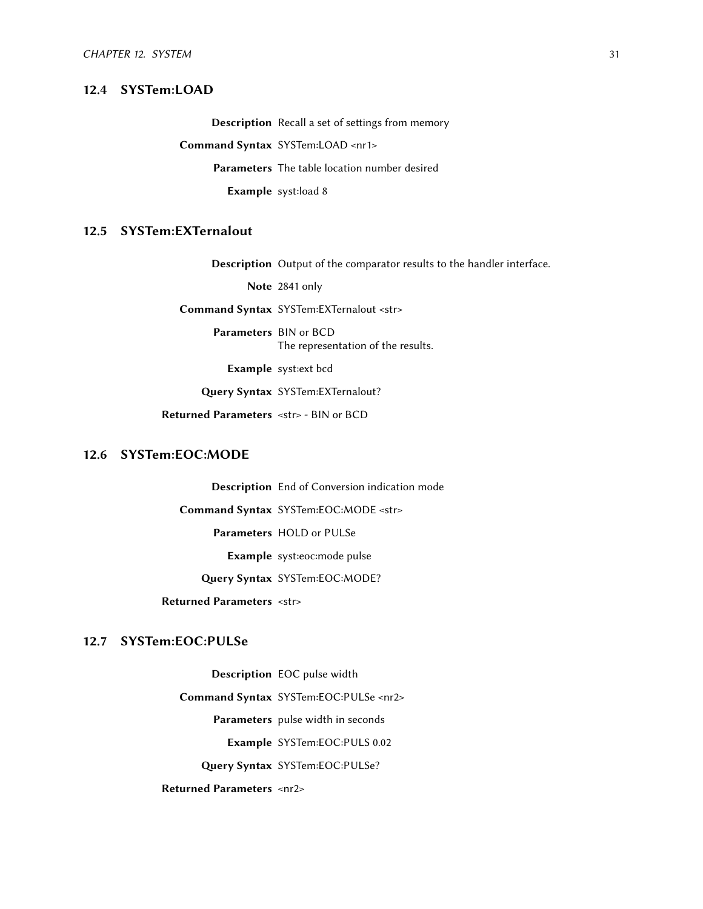#### 12.4 SYSTem:LOAD

Description Recall a set of settings from memory Command Syntax SYSTem:LOAD <nr1> Parameters The table location number desired Example syst:load 8

#### <span id="page-34-0"></span>12.5 SYSTem:EXTernalout

Description Output of the comparator results to the handler interface.

Note 2841 only

Command Syntax SYSTem:EXTernalout <str>

Parameters BIN or BCD The representation of the results.

Example syst:ext bcd

Query Syntax SYSTem:EXTernalout?

Returned Parameters <str> - BIN or BCD

#### <span id="page-34-1"></span>12.6 SYSTem:EOC:MODE

Description End of Conversion indication mode Command Syntax SYSTem:EOC:MODE <str> Parameters HOLD or PULSe Example syst:eoc:mode pulse Query Syntax SYSTem:EOC:MODE?

Returned Parameters <str>

#### <span id="page-34-2"></span>12.7 SYSTem:EOC:PULSe

<span id="page-34-3"></span>Description EOC pulse width Command Syntax SYSTem:EOC:PULSe <nr2> Parameters pulse width in seconds Example SYSTem:EOC:PULS 0.02 Query Syntax SYSTem:EOC:PULSe? Returned Parameters <nr2>